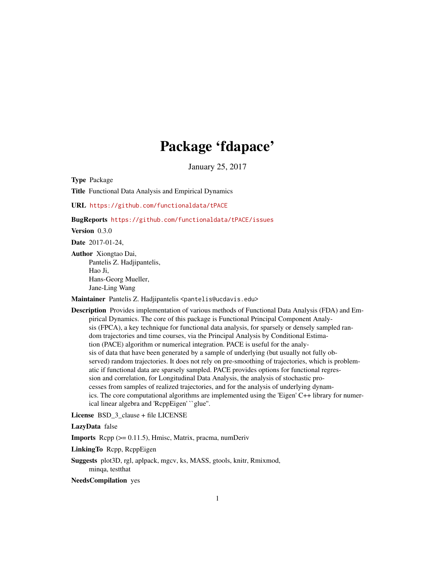# Package 'fdapace'

January 25, 2017

Type Package

Title Functional Data Analysis and Empirical Dynamics

URL <https://github.com/functionaldata/tPACE>

BugReports <https://github.com/functionaldata/tPACE/issues>

Version 0.3.0

Date 2017-01-24,

Author Xiongtao Dai, Pantelis Z. Hadjipantelis, Hao Ji, Hans-Georg Mueller, Jane-Ling Wang

Maintainer Pantelis Z. Hadjipantelis <pantelis@ucdavis.edu>

Description Provides implementation of various methods of Functional Data Analysis (FDA) and Empirical Dynamics. The core of this package is Functional Principal Component Analysis (FPCA), a key technique for functional data analysis, for sparsely or densely sampled random trajectories and time courses, via the Principal Analysis by Conditional Estimation (PACE) algorithm or numerical integration. PACE is useful for the analysis of data that have been generated by a sample of underlying (but usually not fully observed) random trajectories. It does not rely on pre-smoothing of trajectories, which is problematic if functional data are sparsely sampled. PACE provides options for functional regression and correlation, for Longitudinal Data Analysis, the analysis of stochastic processes from samples of realized trajectories, and for the analysis of underlying dynamics. The core computational algorithms are implemented using the 'Eigen' C++ library for numerical linear algebra and 'RcppEigen' ``glue''.

License BSD 3 clause + file LICENSE

LazyData false

Imports Rcpp (>= 0.11.5), Hmisc, Matrix, pracma, numDeriv

LinkingTo Rcpp, RcppEigen

Suggests plot3D, rgl, aplpack, mgcv, ks, MASS, gtools, knitr, Rmixmod, minqa, testthat

NeedsCompilation yes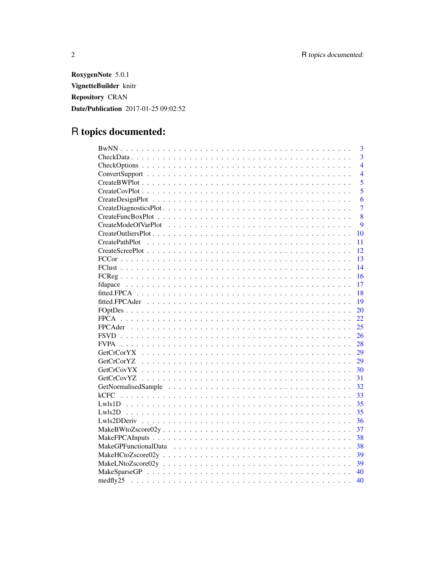RoxygenNote 5.0.1 VignetteBuilder knitr **Repository CRAN** Date/Publication 2017-01-25 09:02:52

# R topics documented:

| $\overline{3}$          |
|-------------------------|
| $\overline{3}$          |
| $\overline{4}$          |
| $\overline{4}$          |
| $\overline{5}$          |
| 5                       |
| 6                       |
| $\overline{7}$          |
| 8                       |
| 9                       |
| 10                      |
| CreatePathPlot<br>11    |
| 12                      |
| 13                      |
| 14                      |
| 16                      |
| 17                      |
| 18                      |
| 19                      |
| 20                      |
| 22                      |
| 25                      |
| 26                      |
| 28                      |
| 29                      |
| 29<br><b>GetCrCorYZ</b> |
| 30                      |
| 31                      |
| 32                      |
| 33<br>kCFC              |
| 35                      |
| 35                      |
| 36                      |
| 37                      |
| 38                      |
| 38                      |
| 39                      |
| 39                      |
| 40                      |
| medfly25<br>40          |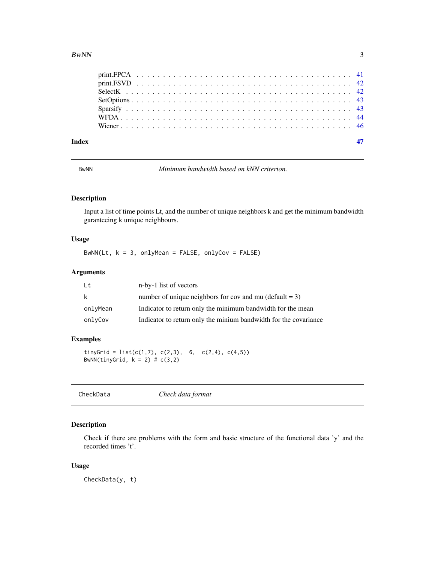#### <span id="page-2-0"></span> $BwNN$  3

| Index |  |  |  |  |  |  |  |  |  |  |  |  |  |  |  |  |  |  |  |  |  |  |  |
|-------|--|--|--|--|--|--|--|--|--|--|--|--|--|--|--|--|--|--|--|--|--|--|--|
|       |  |  |  |  |  |  |  |  |  |  |  |  |  |  |  |  |  |  |  |  |  |  |  |
|       |  |  |  |  |  |  |  |  |  |  |  |  |  |  |  |  |  |  |  |  |  |  |  |
|       |  |  |  |  |  |  |  |  |  |  |  |  |  |  |  |  |  |  |  |  |  |  |  |
|       |  |  |  |  |  |  |  |  |  |  |  |  |  |  |  |  |  |  |  |  |  |  |  |
|       |  |  |  |  |  |  |  |  |  |  |  |  |  |  |  |  |  |  |  |  |  |  |  |
|       |  |  |  |  |  |  |  |  |  |  |  |  |  |  |  |  |  |  |  |  |  |  |  |
|       |  |  |  |  |  |  |  |  |  |  |  |  |  |  |  |  |  |  |  |  |  |  |  |

BwNN *Minimum bandwidth based on kNN criterion.*

# Description

Input a list of time points Lt, and the number of unique neighbors k and get the minimum bandwidth garanteeing k unique neighbours.

# Usage

BwNN(Lt,  $k = 3$ , onlyMean = FALSE, onlyCov = FALSE)

# Arguments

| Lt       | n-by-1 list of vectors                                           |
|----------|------------------------------------------------------------------|
| k        | number of unique neighbors for cov and mu (default $= 3$ )       |
| onlyMean | Indicator to return only the minimum bandwidth for the mean      |
| onlyCov  | Indicator to return only the minium bandwidth for the covariance |

# Examples

```
tinyGrid = list(c(1,7), c(2,3), 6, c(2,4), c(4,5))
BwNN(tinyGrid, k = 2) # c(3,2)
```

| CheckData | Check data format |  |
|-----------|-------------------|--|
|-----------|-------------------|--|

# Description

Check if there are problems with the form and basic structure of the functional data 'y' and the recorded times 't'.

# Usage

CheckData(y, t)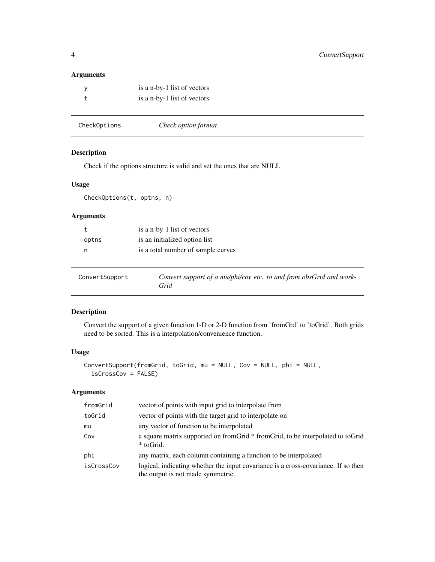# <span id="page-3-0"></span>Arguments

| is a n-by-1 list of vectors |
|-----------------------------|
| is a n-by-1 list of vectors |

| CheckOptions | Check option format |  |
|--------------|---------------------|--|
|--------------|---------------------|--|

# Description

Check if the options structure is valid and set the ones that are NULL

# Usage

CheckOptions(t, optns, n)

# Arguments

|       | is a n-by-1 list of vectors        |
|-------|------------------------------------|
| optns | is an initialized option list      |
| n     | is a total number of sample curves |
|       |                                    |
|       |                                    |

| ConvertSupport | Convert support of a mu/phi/cov etc. to and from obsGrid and work- |  |
|----------------|--------------------------------------------------------------------|--|
|                | Grid                                                               |  |

# Description

Convert the support of a given function 1-D or 2-D function from 'fromGrd' to 'toGrid'. Both grids need to be sorted. This is a interpolation/convenience function.

# Usage

```
ConvertSupport(fromGrid, toGrid, mu = NULL, Cov = NULL, phi = NULL,
  isCrossCov = FALSE)
```

| fromGrid   | vector of points with input grid to interpolate from                                                                    |
|------------|-------------------------------------------------------------------------------------------------------------------------|
| toGrid     | vector of points with the target grid to interpolate on                                                                 |
| mu         | any vector of function to be interpolated                                                                               |
| Cov        | a square matrix supported on from Grid * from Grid, to be interpolated to to Grid<br>* toGrid.                          |
| phi        | any matrix, each column containing a function to be interpolated                                                        |
| isCrossCov | logical, indicating whether the input covariance is a cross-covariance. If so then<br>the output is not made symmetric. |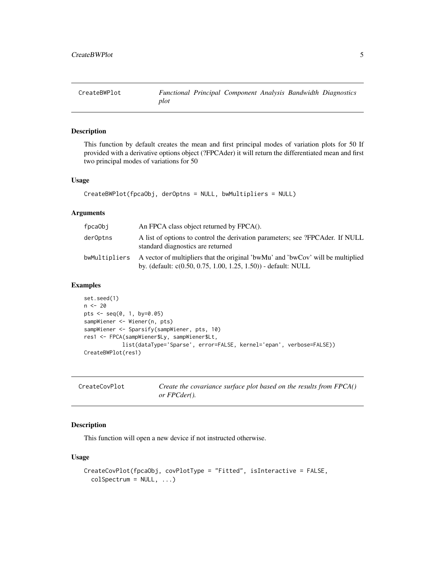<span id="page-4-0"></span>

#### Description

This function by default creates the mean and first principal modes of variation plots for 50 If provided with a derivative options object (?FPCAder) it will return the differentiated mean and first two principal modes of variations for 50

#### Usage

```
CreateBWPlot(fpcaObj, derOptns = NULL, bwMultipliers = NULL)
```
#### Arguments

| fpcaObi       | An FPCA class object returned by FPCA().                                                                                                             |
|---------------|------------------------------------------------------------------------------------------------------------------------------------------------------|
| derOptns      | A list of options to control the derivation parameters; see ?FPCAder. If NULL<br>standard diagnostics are returned                                   |
| bwMultipliers | A vector of multipliers that the original 'bwMu' and 'bwCov' will be multiplied<br>by. (default: $c(0.50, 0.75, 1.00, 1.25, 1.50)$ ) - default: NULL |

# Examples

```
set.seed(1)
n < -20pts <- seq(0, 1, by=0.05)
sampWiener <- Wiener(n, pts)
sampWiener <- Sparsify(sampWiener, pts, 10)
res1 <- FPCA(sampWiener$Ly, sampWiener$Lt,
            list(dataType='Sparse', error=FALSE, kernel='epan', verbose=FALSE))
CreateBWPlot(res1)
```

| CreateCovPlot | Create the covariance surface plot based on the results from FPCA() |  |
|---------------|---------------------------------------------------------------------|--|
|               | <i>or FPCder().</i>                                                 |  |

# Description

This function will open a new device if not instructed otherwise.

# Usage

```
CreateCovPlot(fpcaObj, covPlotType = "Fitted", isInteractive = FALSE,
  colSpectrum = NULL, ...
```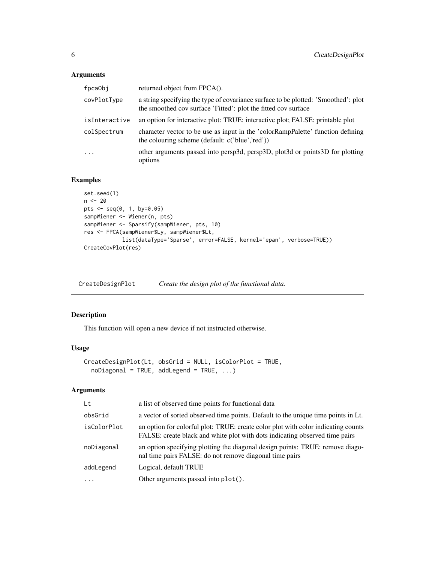# <span id="page-5-0"></span>Arguments

| fpca0bj       | returned object from FPCA().                                                                                                                         |
|---------------|------------------------------------------------------------------------------------------------------------------------------------------------------|
| covPlotType   | a string specifying the type of covariance surface to be plotted: 'Smoothed': plot<br>the smoothed cov surface 'Fitted': plot the fitted cov surface |
| isInteractive | an option for interactive plot: TRUE: interactive plot; FALSE: printable plot                                                                        |
| colSpectrum   | character vector to be use as input in the 'colorRampPalette' function defining<br>the colouring scheme (default: c('blue','red'))                   |
| $\cdot$       | other arguments passed into persp3d, persp3D, plot3d or points3D for plotting<br>options                                                             |

# Examples

```
set.seed(1)
n < - 20pts <- seq(0, 1, by=0.05)
sampWiener <- Wiener(n, pts)
sampWiener <- Sparsify(sampWiener, pts, 10)
res <- FPCA(sampWiener$Ly, sampWiener$Lt,
            list(dataType='Sparse', error=FALSE, kernel='epan', verbose=TRUE))
CreateCovPlot(res)
```
CreateDesignPlot *Create the design plot of the functional data.*

# Description

This function will open a new device if not instructed otherwise.

#### Usage

```
CreateDesignPlot(Lt, obsGrid = NULL, isColorPlot = TRUE,
  noDiagonal = TRUE, addLegend = TRUE, \dots)
```

| Lt          | a list of observed time points for functional data                                                                                                               |
|-------------|------------------------------------------------------------------------------------------------------------------------------------------------------------------|
| obsGrid     | a vector of sorted observed time points. Default to the unique time points in Lt.                                                                                |
| isColorPlot | an option for colorful plot: TRUE: create color plot with color indicating counts<br>FALSE: create black and white plot with dots indicating observed time pairs |
| noDiagonal  | an option specifying plotting the diagonal design points: TRUE: remove diago-<br>nal time pairs FALSE: do not remove diagonal time pairs                         |
| addLegend   | Logical, default TRUE                                                                                                                                            |
| $\ddotsc$   | Other arguments passed into plot().                                                                                                                              |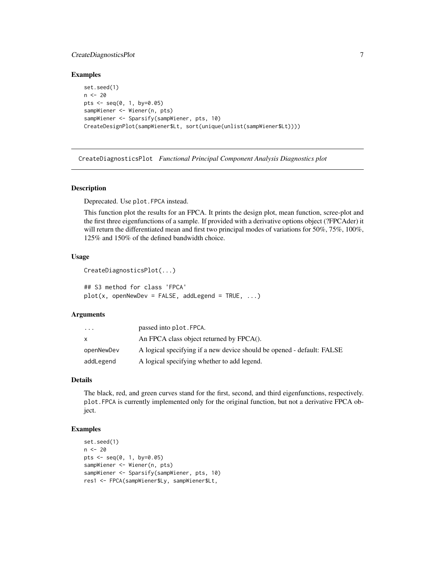# <span id="page-6-0"></span>CreateDiagnosticsPlot 7

#### Examples

```
set.seed(1)
n <- 20
pts <- seq(0, 1, by=0.05)
sampWiener <- Wiener(n, pts)
sampWiener <- Sparsify(sampWiener, pts, 10)
CreateDesignPlot(sampWiener$Lt, sort(unique(unlist(sampWiener$Lt))))
```
CreateDiagnosticsPlot *Functional Principal Component Analysis Diagnostics plot*

#### Description

Deprecated. Use plot.FPCA instead.

This function plot the results for an FPCA. It prints the design plot, mean function, scree-plot and the first three eigenfunctions of a sample. If provided with a derivative options object (?FPCAder) it will return the differentiated mean and first two principal modes of variations for 50%, 75%, 100%, 125% and 150% of the defined bandwidth choice.

# Usage

```
CreateDiagnosticsPlot(...)
```
## S3 method for class 'FPCA'  $plot(x, openNewDev = FALSE, addLegend = TRUE, ...)$ 

#### Arguments

| $\cdots$   | passed into plot. FPCA.                                                |
|------------|------------------------------------------------------------------------|
| X          | An FPCA class object returned by FPCA().                               |
| openNewDev | A logical specifying if a new device should be opened - default: FALSE |
| addLegend  | A logical specifying whether to add legend.                            |

# Details

The black, red, and green curves stand for the first, second, and third eigenfunctions, respectively. plot.FPCA is currently implemented only for the original function, but not a derivative FPCA object.

```
set.seed(1)
n < - 20pts <- seq(0, 1, by=0.05)
sampWiener <- Wiener(n, pts)
sampWiener <- Sparsify(sampWiener, pts, 10)
res1 <- FPCA(sampWiener$Ly, sampWiener$Lt,
```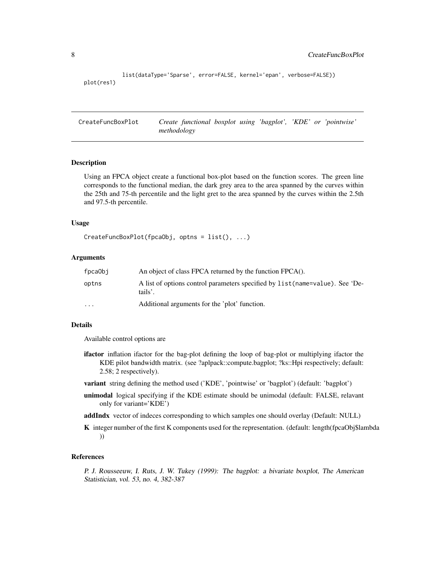```
list(dataType='Sparse', error=FALSE, kernel='epan', verbose=FALSE))
plot(res1)
```
CreateFuncBoxPlot *Create functional boxplot using 'bagplot', 'KDE' or 'pointwise' methodology*

#### Description

Using an FPCA object create a functional box-plot based on the function scores. The green line corresponds to the functional median, the dark grey area to the area spanned by the curves within the 25th and 75-th percentile and the light gret to the area spanned by the curves within the 2.5th and 97.5-th percentile.

#### Usage

```
CreateFuncBoxPlot(fpcaObj, optns = list(), ...)
```
#### Arguments

| fpcaObj  | An object of class FPCA returned by the function FPCA().                                 |
|----------|------------------------------------------------------------------------------------------|
| optns    | A list of options control parameters specified by list (name=value). See 'De-<br>tails'. |
| $\cdots$ | Additional arguments for the 'plot' function.                                            |

#### Details

Available control options are

- ifactor inflation ifactor for the bag-plot defining the loop of bag-plot or multiplying ifactor the KDE pilot bandwidth matrix. (see ?aplpack::compute.bagplot; ?ks::Hpi respectively; default: 2.58; 2 respectively).
- variant string defining the method used ('KDE', 'pointwise' or 'bagplot') (default: 'bagplot')
- unimodal logical specifying if the KDE estimate should be unimodal (default: FALSE, relavant only for variant='KDE')
- addIndx vector of indeces corresponding to which samples one should overlay (Default: NULL)
- K integer number of the first K components used for the representation. (default: length(fpcaObj\$lambda) ))

#### References

P. J. Rousseeuw, I. Ruts, J. W. Tukey (1999): The bagplot: a bivariate boxplot, The American Statistician, vol. 53, no. 4, 382-387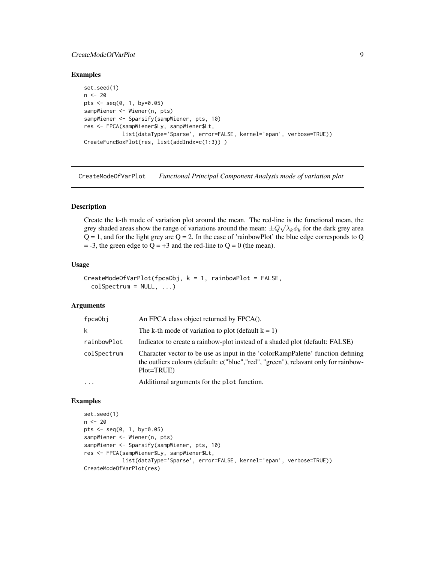# <span id="page-8-0"></span>CreateModeOfVarPlot 9

#### Examples

```
set.seed(1)
n < -20pts \leq - seq(0, 1, by=0.05)
sampWiener <- Wiener(n, pts)
sampWiener <- Sparsify(sampWiener, pts, 10)
res <- FPCA(sampWiener$Ly, sampWiener$Lt,
            list(dataType='Sparse', error=FALSE, kernel='epan', verbose=TRUE))
CreateFuncBoxPlot(res, list(addIndx=c(1:3)) )
```
CreateModeOfVarPlot *Functional Principal Component Analysis mode of variation plot*

# Description

Create the k-th mode of variation plot around the mean. The red-line is the functional mean, the grey shaded areas show the range of variations around the mean:  $\pm Q\sqrt{\lambda_k}\phi_k$  for the dark grey area  $Q = 1$ , and for the light grey are  $Q = 2$ . In the case of 'rainbowPlot' the blue edge corresponds to Q  $=$  -3, the green edge to Q = +3 and the red-line to Q = 0 (the mean).

#### Usage

```
CreateModeOfVarPlot(fpcaObj, k = 1, rainbowPlot = FALSE,
 colSpectrum = NULL, ...
```
#### Arguments

| fpcaObj     | An FPCA class object returned by FPCA().                                                                                                                                             |
|-------------|--------------------------------------------------------------------------------------------------------------------------------------------------------------------------------------|
| k           | The k-th mode of variation to plot (default $k = 1$ )                                                                                                                                |
| rainbowPlot | Indicator to create a rainbow-plot instead of a shaded plot (default: FALSE)                                                                                                         |
| colSpectrum | Character vector to be use as input in the 'colorRampPalette' function defining<br>the outliers colours (default: c("blue","red", "green"), relavant only for rainbow-<br>Plot=TRUE) |
| $\ddotsc$   | Additional arguments for the plot function.                                                                                                                                          |

```
set.seed(1)
n < - 20pts <- seq(0, 1, by=0.05)
sampWiener <- Wiener(n, pts)
sampWiener <- Sparsify(sampWiener, pts, 10)
res <- FPCA(sampWiener$Ly, sampWiener$Lt,
            list(dataType='Sparse', error=FALSE, kernel='epan', verbose=TRUE))
CreateModeOfVarPlot(res)
```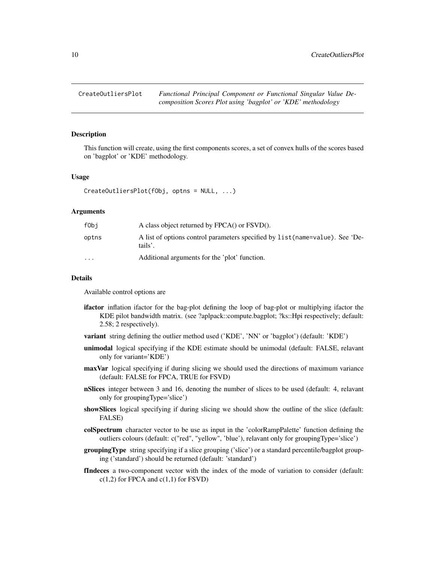<span id="page-9-0"></span>

#### Description

This function will create, using the first components scores, a set of convex hulls of the scores based on 'bagplot' or 'KDE' methodology.

#### Usage

```
CreateOutliersPlot(fObj, optns = NULL, ...)
```
#### Arguments

| fObi                 | A class object returned by FPCA() or FSVD().                                             |
|----------------------|------------------------------------------------------------------------------------------|
| optns                | A list of options control parameters specified by list (name=value). See 'De-<br>tails'. |
| $\ddot{\phantom{0}}$ | Additional arguments for the 'plot' function.                                            |

# Details

Available control options are

- ifactor inflation ifactor for the bag-plot defining the loop of bag-plot or multiplying ifactor the KDE pilot bandwidth matrix. (see ?aplpack::compute.bagplot; ?ks::Hpi respectively; default: 2.58; 2 respectively).
- variant string defining the outlier method used ('KDE', 'NN' or 'bagplot') (default: 'KDE')
- unimodal logical specifying if the KDE estimate should be unimodal (default: FALSE, relavant only for variant='KDE')
- maxVar logical specifying if during slicing we should used the directions of maximum variance (default: FALSE for FPCA, TRUE for FSVD)
- **nSlices** integer between 3 and 16, denoting the number of slices to be used (default: 4, relavant only for groupingType='slice')
- showSlices logical specifying if during slicing we should show the outline of the slice (default: FALSE)
- colSpectrum character vector to be use as input in the 'colorRampPalette' function defining the outliers colours (default: c("red", "yellow", 'blue'), relavant only for groupingType='slice')
- **groupingType** string specifying if a slice grouping ('slice') or a standard percentile/bagplot grouping ('standard') should be returned (default: 'standard')
- fIndeces a two-component vector with the index of the mode of variation to consider (default:  $c(1,2)$  for FPCA and  $c(1,1)$  for FSVD)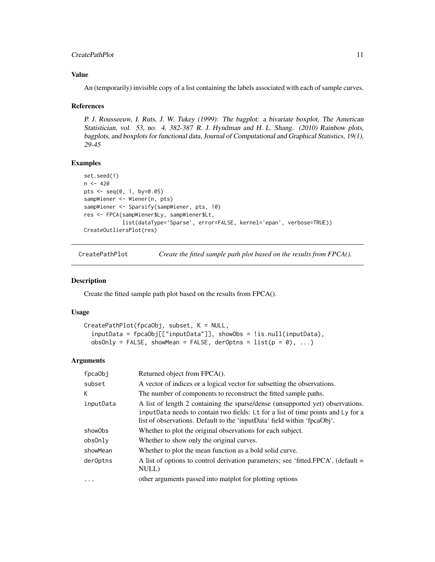#### <span id="page-10-0"></span> $CreatePathPlot$  11

#### Value

An (temporarily) invisible copy of a list containing the labels associated with each of sample curves.

#### References

P. J. Rousseeuw, I. Ruts, J. W. Tukey (1999): The bagplot: a bivariate boxplot, The American Statistician, vol. 53, no. 4, 382-387 R. J. Hyndman and H. L. Shang. (2010) Rainbow plots, bagplots, and boxplots for functional data, Journal of Computational and Graphical Statistics, 19(1), 29-45

# Examples

```
set.seed(1)
n < -420pts <- seq(0, 1, by=0.05)
sampWiener <- Wiener(n, pts)
sampWiener <- Sparsify(sampWiener, pts, 10)
res <- FPCA(sampWiener$Ly, sampWiener$Lt,
            list(dataType='Sparse', error=FALSE, kernel='epan', verbose=TRUE))
CreateOutliersPlot(res)
```
CreatePathPlot *Create the fitted sample path plot based on the results from FPCA().*

# Description

Create the fitted sample path plot based on the results from FPCA().

#### Usage

```
CreatePathPlot(fpcaObj, subset, K = NULL,
  inputData = fpcaObj[["inputData"]], showObs = !is.null(inputData),
  obsOnly = FALSE, showMean = FALSE, derOptns = list(p = 0), ...
```

| fpcaObj   | Returned object from FPCA().                                                                                                                                                                                                                   |
|-----------|------------------------------------------------------------------------------------------------------------------------------------------------------------------------------------------------------------------------------------------------|
| subset    | A vector of indices or a logical vector for subsetting the observations.                                                                                                                                                                       |
| К         | The number of components to reconstruct the fitted sample paths.                                                                                                                                                                               |
| inputData | A list of length 2 containing the sparse/dense (unsupported yet) observations.<br>inputData needs to contain two fields: Lt for a list of time points and Ly for a<br>list of observations. Default to the 'inputData' field within 'fpcaObj'. |
| show0bs   | Whether to plot the original observations for each subject.                                                                                                                                                                                    |
| obsOnly   | Whether to show only the original curves.                                                                                                                                                                                                      |
| showMean  | Whether to plot the mean function as a bold solid curve.                                                                                                                                                                                       |
| der0ptns  | A list of options to control derivation parameters; see 'fitted.FPCA'. (default =<br>NULL)                                                                                                                                                     |
| $\cdot$   | other arguments passed into matplot for plotting options                                                                                                                                                                                       |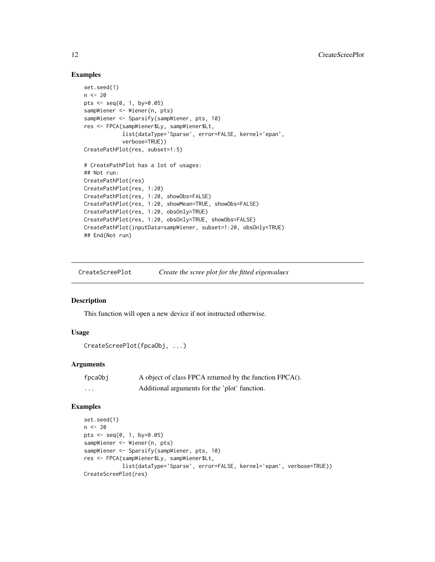#### Examples

```
set.seed(1)
n <- 20
pts <- seq(0, 1, by=0.05)
sampWiener <- Wiener(n, pts)
sampWiener <- Sparsify(sampWiener, pts, 10)
res <- FPCA(sampWiener$Ly, sampWiener$Lt,
            list(dataType='Sparse', error=FALSE, kernel='epan',
            verbose=TRUE))
CreatePathPlot(res, subset=1:5)
# CreatePathPlot has a lot of usages:
## Not run:
CreatePathPlot(res)
CreatePathPlot(res, 1:20)
CreatePathPlot(res, 1:20, showObs=FALSE)
CreatePathPlot(res, 1:20, showMean=TRUE, showObs=FALSE)
CreatePathPlot(res, 1:20, obsOnly=TRUE)
CreatePathPlot(res, 1:20, obsOnly=TRUE, showObs=FALSE)
CreatePathPlot(inputData=sampWiener, subset=1:20, obsOnly=TRUE)
## End(Not run)
```
CreateScreePlot *Create the scree plot for the fitted eigenvalues*

# Description

This function will open a new device if not instructed otherwise.

## Usage

```
CreateScreePlot(fpcaObj, ...)
```
#### Arguments

| fpcaObj | A object of class FPCA returned by the function FPCA(). |
|---------|---------------------------------------------------------|
| .       | Additional arguments for the 'plot' function.           |

```
set.seed(1)
n < - 20pts <- seq(0, 1, by=0.05)
sampWiener <- Wiener(n, pts)
sampWiener <- Sparsify(sampWiener, pts, 10)
res <- FPCA(sampWiener$Ly, sampWiener$Lt,
            list(dataType='Sparse', error=FALSE, kernel='epan', verbose=TRUE))
CreateScreePlot(res)
```
<span id="page-11-0"></span>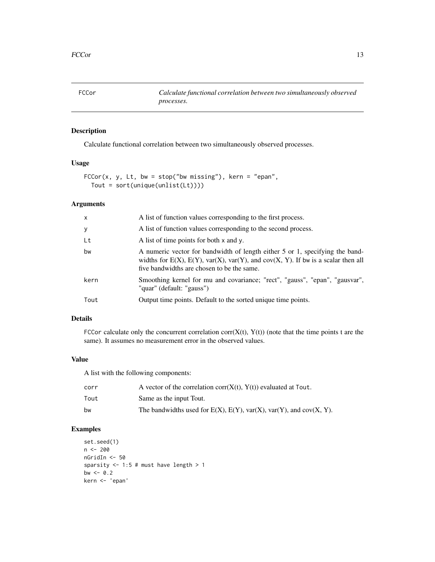<span id="page-12-0"></span>FCCor *Calculate functional correlation between two simultaneously observed processes.*

# Description

Calculate functional correlation between two simultaneously observed processes.

# Usage

```
FCCor(x, y, Lt, bw = stop("bw missing"), kern = "epan",Tout = sort(unique(unlist(Lt))))
```
# Arguments

| A list of function values corresponding to the second process.<br>У<br>Lt<br>A list of time points for both x and y.<br>bw<br>five bandwidths are chosen to be the same.<br>kern<br>"quar" (default: "gauss")<br>Output time points. Default to the sorted unique time points.<br>Tout | $\times$ | A list of function values corresponding to the first process.                                                                                                                   |
|----------------------------------------------------------------------------------------------------------------------------------------------------------------------------------------------------------------------------------------------------------------------------------------|----------|---------------------------------------------------------------------------------------------------------------------------------------------------------------------------------|
|                                                                                                                                                                                                                                                                                        |          |                                                                                                                                                                                 |
|                                                                                                                                                                                                                                                                                        |          |                                                                                                                                                                                 |
|                                                                                                                                                                                                                                                                                        |          | A numeric vector for bandwidth of length either 5 or 1, specifying the band-<br>widths for $E(X)$ , $E(Y)$ , $var(X)$ , $var(Y)$ , and $cov(X, Y)$ . If bw is a scalar then all |
|                                                                                                                                                                                                                                                                                        |          | Smoothing kernel for mu and covariance; "rect", "gauss", "epan", "gausvar",                                                                                                     |
|                                                                                                                                                                                                                                                                                        |          |                                                                                                                                                                                 |

# Details

FCCor calculate only the concurrent correlation corr $(X(t), Y(t))$  (note that the time points t are the same). It assumes no measurement error in the observed values.

## Value

A list with the following components:

| corr | A vector of the correlation $corr(X(t), Y(t))$ evaluated at Tout.                 |
|------|-----------------------------------------------------------------------------------|
| Tout | Same as the input Tout.                                                           |
| bw   | The bandwidths used for $E(X)$ , $E(Y)$ , $var(X)$ , $var(Y)$ , and $cov(X, Y)$ . |

```
set.seed(1)
n <- 200
nGridIn <- 50
sparsity <-1:5 # must have length >1bw <-0.2kern <- 'epan'
```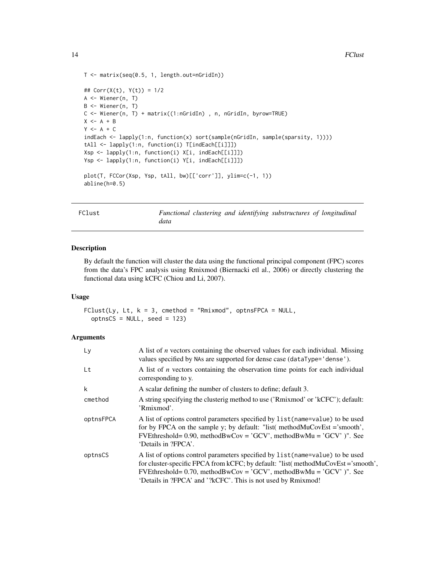```
T <- matrix(seq(0.5, 1, length.out=nGridIn))
## Corr(X(t), Y(t)) = 1/2A <- Wiener(n, T)
B <- Wiener(n, T)
C <- Wiener(n, T) + matrix((1:nGridIn) , n, nGridIn, byrow=TRUE)
X \leftarrow A + BY \leftarrow A + CindEach <- lapply(1:n, function(x) sort(sample(nGridIn, sample(sparsity, 1))))
tAll <- lapply(1:n, function(i) T[indEach[[i]]])
Xsp <- lapply(1:n, function(i) X[i, indEach[[i]]])
Ysp <- lapply(1:n, function(i) Y[i, indEach[[i]]])
plot(T, FCCor(Xsp, Ysp, tAll, bw)[['corr']], ylim=c(-1, 1))
abline(h=0.5)
```
FClust *Functional clustering and identifying substructures of longitudinal data*

#### Description

By default the function will cluster the data using the functional principal component (FPC) scores from the data's FPC analysis using Rmixmod (Biernacki etl al., 2006) or directly clustering the functional data using kCFC (Chiou and Li, 2007).

#### Usage

 $FClust(Ly, Lt, k = 3, cmethod = "Rmixmod", optnSFPCA = NULL,$  $optnsCS = NULL$ , seed = 123)

| Ly        | A list of $n$ vectors containing the observed values for each individual. Missing<br>values specified by NAs are supported for dense case (dataType='dense').                                                                                                                                                  |
|-----------|----------------------------------------------------------------------------------------------------------------------------------------------------------------------------------------------------------------------------------------------------------------------------------------------------------------|
| Lt        | A list of $n$ vectors containing the observation time points for each individual<br>corresponding to y.                                                                                                                                                                                                        |
| k         | A scalar defining the number of clusters to define; default 3.                                                                                                                                                                                                                                                 |
| cmethod   | A string specifying the clusterig method to use ('Rmixmod' or 'kCFC'); default:<br>'Rmixmod'.                                                                                                                                                                                                                  |
| optnsFPCA | A list of options control parameters specified by list (name=value) to be used<br>for by FPCA on the sample y; by default: "list( methodMuCovEst ='smooth',<br>FVEthreshold= $0.90$ , methodBwCov = 'GCV', methodBwMu = 'GCV' )". See<br>'Details in ?FPCA'.                                                   |
| optnsCS   | A list of options control parameters specified by list (name=value) to be used<br>for cluster-specific FPCA from kCFC; by default: "list( methodMuCovEst = 'smooth',<br>FVEthreshold= $0.70$ , methodBwCov = 'GCV', methodBwMu = 'GCV' )". See<br>'Details in ?FPCA' and '?kCFC'. This is not used by Rmixmod! |

<span id="page-13-0"></span>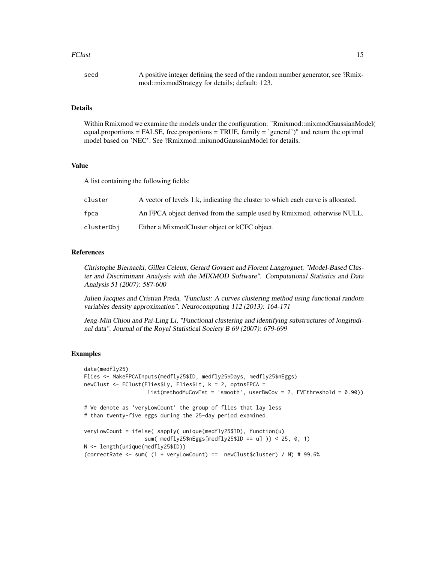#### FClust 15

| seed | A positive integer defining the seed of the random number generator, see ?Rmix- |
|------|---------------------------------------------------------------------------------|
|      | mod::mixmodStrategy for details; default: 123.                                  |

#### Details

Within Rmixmod we examine the models under the configuration: "Rmixmod::mixmodGaussianModel( equal.proportions = FALSE, free.proportions = TRUE, family = 'general')" and return the optimal model based on 'NEC'. See ?Rmixmod::mixmodGaussianModel for details.

# Value

A list containing the following fields:

| cluster    | A vector of levels 1:k, indicating the cluster to which each curve is allocated. |
|------------|----------------------------------------------------------------------------------|
| fpca       | An FPCA object derived from the sample used by Rmixmod, otherwise NULL.          |
| clusterObi | Either a MixmodCluster object or kCFC object.                                    |

#### References

Christophe Biernacki, Gilles Celeux, Gerard Govaert and Florent Langrognet, "Model-Based Cluster and Discriminant Analysis with the MIXMOD Software". Computational Statistics and Data Analysis 51 (2007): 587-600

Julien Jacques and Cristian Preda, "Funclust: A curves clustering method using functional random variables density approximation". Neurocomputing 112 (2013): 164-171

Jeng-Min Chiou and Pai-Ling Li, "Functional clustering and identifying substructures of longitudinal data". Journal of the Royal Statistical Society B 69 (2007): 679-699

```
data(medfly25)
Flies <- MakeFPCAInputs(medfly25$ID, medfly25$Days, medfly25$nEggs)
newClust <- FClust(Flies$Ly, Flies$Lt, k = 2, optnsFPCA =
                   list(methodMuCovEst = 'smooth', userBwCov = 2, FVEthreshold = 0.90))
# We denote as 'veryLowCount' the group of flies that lay less
# than twenty-five eggs during the 25-day period examined.
veryLowCount = ifelse( sapply( unique(medfly25$ID), function(u)
                   sum( medfly25$nEggs[medfly25$ID == u] )) < 25, 0, 1)
N <- length(unique(medfly25$ID))
(correctRate <- sum( (1 + veryLowCount) == newClust$cluster) / N) # 99.6%
```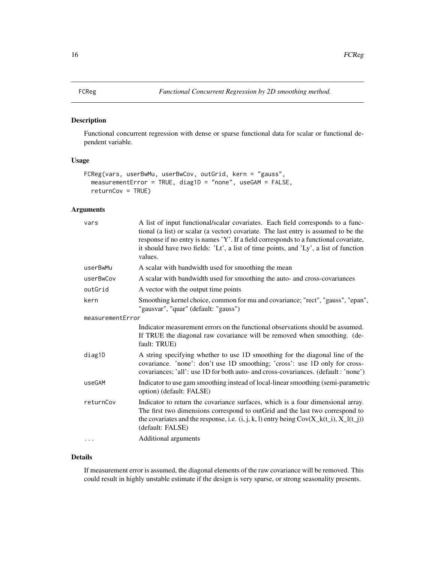#### <span id="page-15-0"></span>Description

Functional concurrent regression with dense or sparse functional data for scalar or functional dependent variable.

#### Usage

```
FCReg(vars, userBwMu, userBwCov, outGrid, kern = "gauss",
 measurementError = TRUE, diag1D = "none", useGAM = FALSE,
  returnCov = TRUE)
```
# Arguments

| vars             | A list of input functional/scalar covariates. Each field corresponds to a func-<br>tional (a list) or scalar (a vector) covariate. The last entry is assumed to be the<br>response if no entry is names 'Y'. If a field corresponds to a functional covariate,<br>it should have two fields: 'Lt', a list of time points, and 'Ly', a list of function<br>values. |
|------------------|-------------------------------------------------------------------------------------------------------------------------------------------------------------------------------------------------------------------------------------------------------------------------------------------------------------------------------------------------------------------|
| userBwMu         | A scalar with bandwidth used for smoothing the mean                                                                                                                                                                                                                                                                                                               |
| userBwCov        | A scalar with bandwidth used for smoothing the auto- and cross-covariances                                                                                                                                                                                                                                                                                        |
| outGrid          | A vector with the output time points                                                                                                                                                                                                                                                                                                                              |
| kern             | Smoothing kernel choice, common for mu and covariance; "rect", "gauss", "epan",<br>"gausvar", "quar" (default: "gauss")                                                                                                                                                                                                                                           |
| measurementError |                                                                                                                                                                                                                                                                                                                                                                   |
|                  | Indicator measurement errors on the functional observations should be assumed.<br>If TRUE the diagonal raw covariance will be removed when smoothing. (de-<br>fault: TRUE)                                                                                                                                                                                        |
| diag1D           | A string specifying whether to use 1D smoothing for the diagonal line of the<br>covariance. 'none': don't use 1D smoothing; 'cross': use 1D only for cross-<br>covariances; 'all': use 1D for both auto- and cross-covariances. (default: 'none')                                                                                                                 |
| useGAM           | Indicator to use gam smoothing instead of local-linear smoothing (semi-parametric<br>option) (default: FALSE)                                                                                                                                                                                                                                                     |
| returnCov        | Indicator to return the covariance surfaces, which is a four dimensional array.<br>The first two dimensions correspond to outGrid and the last two correspond to<br>the covariates and the response, i.e. $(i, j, k, l)$ entry being $Cov(X_k(t_i), X_l(t_j))$<br>(default: FALSE)                                                                                |
|                  | Additional arguments                                                                                                                                                                                                                                                                                                                                              |

# Details

If measurement error is assumed, the diagonal elements of the raw covariance will be removed. This could result in highly unstable estimate if the design is very sparse, or strong seasonality presents.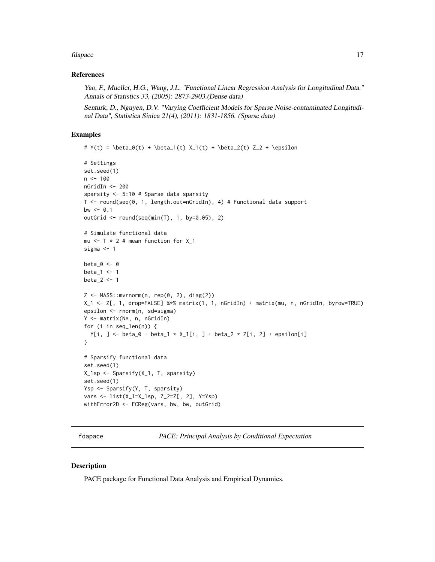#### <span id="page-16-0"></span>fdapace and the state of the state of the state of the state of the state of the state of the state of the state of the state of the state of the state of the state of the state of the state of the state of the state of th

#### References

Yao, F., Mueller, H.G., Wang, J.L. "Functional Linear Regression Analysis for Longitudinal Data." Annals of Statistics 33, (2005): 2873-2903.(Dense data)

Senturk, D., Nguyen, D.V. "Varying Coefficient Models for Sparse Noise-contaminated Longitudinal Data", Statistica Sinica 21(4), (2011): 1831-1856. (Sparse data)

# Examples

```
# Y(t) = \beta_0(t) + \beta_1(t) X_1(t) + \beta_2(t) Z_2 + \epsilon_1# Settings
set.seed(1)
n < -100nGridIn <- 200
sparsity <- 5:10 # Sparse data sparsity
T <- round(seq(0, 1, length.out=nGridIn), 4) # Functional data support
bw <-0.1outGrid <- round(seq(min(T), 1, by=0.05), 2)
# Simulate functional data
mu <- T * 2 # mean function for X_1sigma <- 1
beta0 < -0beta1 < -1beta_2 <- 1
Z \le - MASS:: mvrnorm(n, rep(0, 2), diag(2))
X_1 <- Z[, 1, drop=FALSE] %*% matrix(1, 1, nGridIn) + matrix(mu, n, nGridIn, byrow=TRUE)
epsilon <- rnorm(n, sd=sigma)
Y <- matrix(NA, n, nGridIn)
for (i in seq_len(n)) {
  Y[i, ] \leftarrow beta_0 + beta_1 * X_1[i, ] + beta_2 * Z[i, 2] + epsilon[i]}
# Sparsify functional data
set.seed(1)
X_1sp <- Sparsify(X_1, T, sparsity)
set.seed(1)
Ysp <- Sparsify(Y, T, sparsity)
vars <- list(X_1=X_1sp, Z_2=Z[, 2], Y=Ysp)
withError2D <- FCReg(vars, bw, bw, outGrid)
```
fdapace *PACE: Principal Analysis by Conditional Expectation*

#### Description

PACE package for Functional Data Analysis and Empirical Dynamics.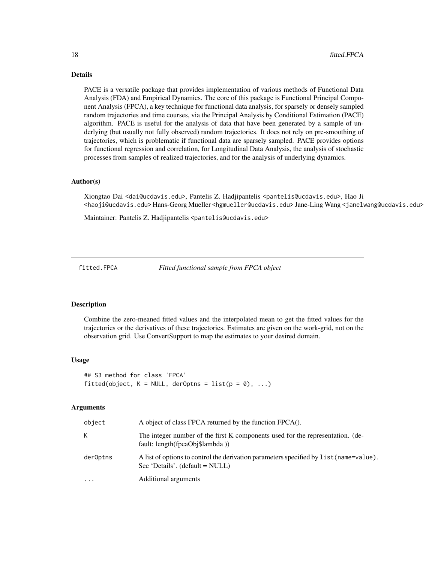#### Details

PACE is a versatile package that provides implementation of various methods of Functional Data Analysis (FDA) and Empirical Dynamics. The core of this package is Functional Principal Component Analysis (FPCA), a key technique for functional data analysis, for sparsely or densely sampled random trajectories and time courses, via the Principal Analysis by Conditional Estimation (PACE) algorithm. PACE is useful for the analysis of data that have been generated by a sample of underlying (but usually not fully observed) random trajectories. It does not rely on pre-smoothing of trajectories, which is problematic if functional data are sparsely sampled. PACE provides options for functional regression and correlation, for Longitudinal Data Analysis, the analysis of stochastic processes from samples of realized trajectories, and for the analysis of underlying dynamics.

#### Author(s)

Xiongtao Dai <dai@ucdavis.edu>, Pantelis Z. Hadjipantelis <pantelis@ucdavis.edu>, Hao Ji <haoji@ucdavis.edu> Hans-Georg Mueller <hgmueller@ucdavis.edu> Jane-Ling Wang <janelwang@ucdavis.edu>

Maintainer: Pantelis Z. Hadjipantelis <pantelis@ucdavis.edu>

fitted.FPCA *Fitted functional sample from FPCA object*

#### Description

Combine the zero-meaned fitted values and the interpolated mean to get the fitted values for the trajectories or the derivatives of these trajectories. Estimates are given on the work-grid, not on the observation grid. Use ConvertSupport to map the estimates to your desired domain.

#### Usage

```
## S3 method for class 'FPCA'
fitted(object, K = NULL, derOptns = list(p = 0), ...)
```

| object   | A object of class FPCA returned by the function FPCA().                                                                     |
|----------|-----------------------------------------------------------------------------------------------------------------------------|
| K.       | The integer number of the first K components used for the representation. (de-<br>fault: length(fpcaObj\$lambda))           |
| derOptns | A list of options to control the derivation parameters specified by list (name=value).<br>See 'Details'. $(detault = NULL)$ |
| $\cdots$ | Additional arguments                                                                                                        |

<span id="page-17-0"></span>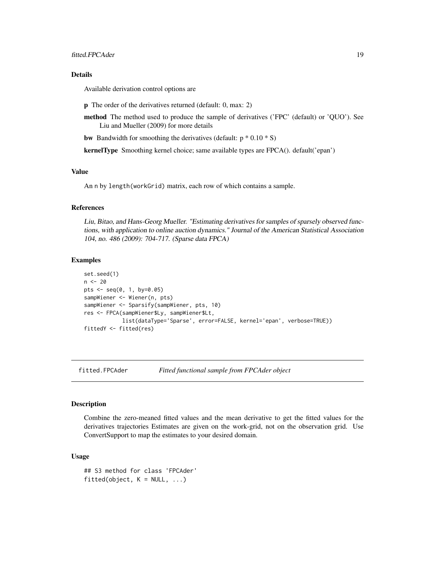#### <span id="page-18-0"></span>Details

Available derivation control options are

- p The order of the derivatives returned (default: 0, max: 2)
- method The method used to produce the sample of derivatives ('FPC' (default) or 'QUO'). See Liu and Mueller (2009) for more details

**bw** Bandwidth for smoothing the derivatives (default:  $p * 0.10 * S$ )

kernelType Smoothing kernel choice; same available types are FPCA(). default('epan')

#### Value

An n by length(workGrid) matrix, each row of which contains a sample.

#### References

Liu, Bitao, and Hans-Georg Mueller. "Estimating derivatives for samples of sparsely observed functions, with application to online auction dynamics." Journal of the American Statistical Association 104, no. 486 (2009): 704-717. (Sparse data FPCA)

#### Examples

```
set.seed(1)
n < - 20pts <- seq(0, 1, by=0.05)
sampWiener <- Wiener(n, pts)
sampWiener <- Sparsify(sampWiener, pts, 10)
res <- FPCA(sampWiener$Ly, sampWiener$Lt,
            list(dataType='Sparse', error=FALSE, kernel='epan', verbose=TRUE))
fittedY <- fitted(res)
```
fitted.FPCAder *Fitted functional sample from FPCAder object*

#### **Description**

Combine the zero-meaned fitted values and the mean derivative to get the fitted values for the derivatives trajectories Estimates are given on the work-grid, not on the observation grid. Use ConvertSupport to map the estimates to your desired domain.

#### Usage

```
## S3 method for class 'FPCAder'
fitted(object, K = NULL, ...)
```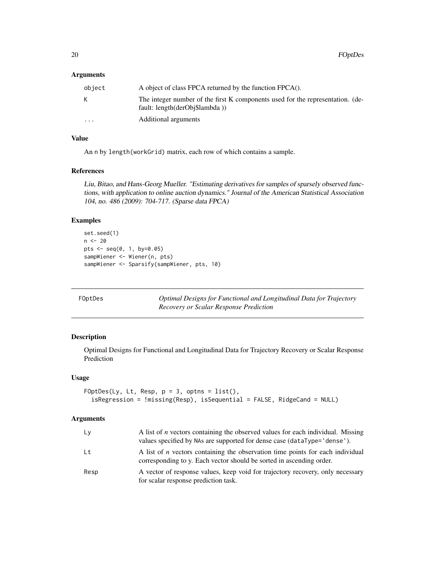#### <span id="page-19-0"></span>Arguments

| object  | A object of class FPCA returned by the function FPCA().                                                          |
|---------|------------------------------------------------------------------------------------------------------------------|
| K.      | The integer number of the first K components used for the representation. (de-<br>fault: length(derObj\$lambda)) |
| $\cdot$ | Additional arguments                                                                                             |

#### Value

An n by length(workGrid) matrix, each row of which contains a sample.

#### References

Liu, Bitao, and Hans-Georg Mueller. "Estimating derivatives for samples of sparsely observed functions, with application to online auction dynamics." Journal of the American Statistical Association 104, no. 486 (2009): 704-717. (Sparse data FPCA)

#### Examples

```
set.seed(1)
n <- 20
pts <- seq(0, 1, by=0.05)
sampWiener <- Wiener(n, pts)
sampWiener <- Sparsify(sampWiener, pts, 10)
```

| FOptDes |  |  |
|---------|--|--|
|         |  |  |

FOptDes *Optimal Designs for Functional and Longitudinal Data for Trajectory Recovery or Scalar Response Prediction*

# Description

Optimal Designs for Functional and Longitudinal Data for Trajectory Recovery or Scalar Response Prediction

#### Usage

```
FOptDes(Ly, Lt, Resp, p = 3, optns = list(),
  isRegression = !missing(Resp), isSequential = FALSE, RidgeCand = NULL)
```

| Ly   | A list of <i>n</i> vectors containing the observed values for each individual. Missing<br>values specified by NAs are supported for dense case (dataType='dense'). |
|------|--------------------------------------------------------------------------------------------------------------------------------------------------------------------|
| Lt   | A list of <i>n</i> vectors containing the observation time points for each individual<br>corresponding to y. Each vector should be sorted in ascending order.      |
| Resp | A vector of response values, keep void for trajectory recovery, only necessary<br>for scalar response prediction task.                                             |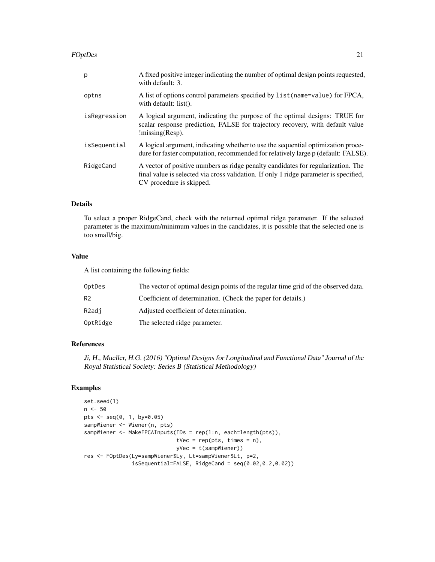#### FOptDes 21

| p            | A fixed positive integer indicating the number of optimal design points requested,<br>with default: 3.                                                                                                |
|--------------|-------------------------------------------------------------------------------------------------------------------------------------------------------------------------------------------------------|
| optns        | A list of options control parameters specified by list (name=value) for FPCA,<br>with default: $list()$ .                                                                                             |
| isRegression | A logical argument, indicating the purpose of the optimal designs: TRUE for<br>scalar response prediction, FALSE for trajectory recovery, with default value<br>$l$ missing(Resp).                    |
| isSequential | A logical argument, indicating whether to use the sequential optimization proce-<br>dure for faster computation, recommended for relatively large p (default: FALSE).                                 |
| RidgeCand    | A vector of positive numbers as ridge penalty candidates for regularization. The<br>final value is selected via cross validation. If only 1 ridge parameter is specified,<br>CV procedure is skipped. |

# Details

To select a proper RidgeCand, check with the returned optimal ridge parameter. If the selected parameter is the maximum/minimum values in the candidates, it is possible that the selected one is too small/big.

#### Value

A list containing the following fields:

| OptDes         | The vector of optimal design points of the regular time grid of the observed data. |
|----------------|------------------------------------------------------------------------------------|
| R <sub>2</sub> | Coefficient of determination. (Check the paper for details.)                       |
| R2adi          | Adjusted coefficient of determination.                                             |
| OptRidge       | The selected ridge parameter.                                                      |

#### References

Ji, H., Mueller, H.G. (2016) "Optimal Designs for Longitudinal and Functional Data" Journal of the Royal Statistical Society: Series B (Statistical Methodology)

```
set.seed(1)
n < -50pts <- seq(0, 1, by=0.05)
sampWiener <- Wiener(n, pts)
sampWiener <- MakeFPCAInputs(IDs = rep(1:n, each=length(pts)),
                            tVec = reppts, times = n),yVec = t(sampWiener))
res <- FOptDes(Ly=sampWiener$Ly, Lt=sampWiener$Lt, p=2,
              isSequential=FALSE, RidgeCand = seq(0.02,0.2,0.02))
```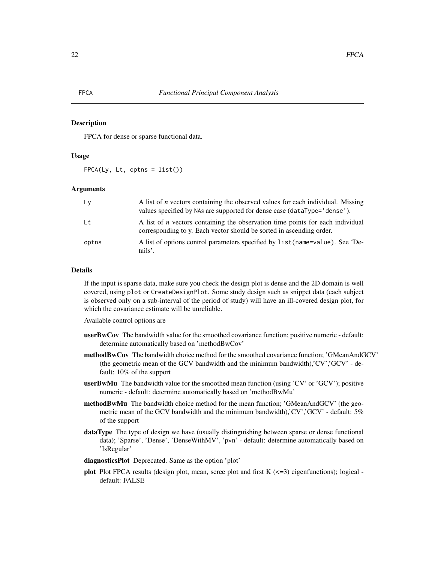#### <span id="page-21-0"></span>Description

FPCA for dense or sparse functional data.

# Usage

 $FPCA(Ly, Lt, optns = list())$ 

#### **Arguments**

| Lv    | A list of <i>n</i> vectors containing the observed values for each individual. Missing<br>values specified by NAs are supported for dense case (dataType='dense'). |
|-------|--------------------------------------------------------------------------------------------------------------------------------------------------------------------|
| l t   | A list of <i>n</i> vectors containing the observation time points for each individual<br>corresponding to y. Each vector should be sorted in ascending order.      |
| optns | A list of options control parameters specified by list (name=value). See 'De-<br>tails'.                                                                           |

# Details

If the input is sparse data, make sure you check the design plot is dense and the 2D domain is well covered, using plot or CreateDesignPlot. Some study design such as snippet data (each subject is observed only on a sub-interval of the period of study) will have an ill-covered design plot, for which the covariance estimate will be unreliable.

Available control options are

- userBwCov The bandwidth value for the smoothed covariance function; positive numeric default: determine automatically based on 'methodBwCov'
- methodBwCov The bandwidth choice method for the smoothed covariance function; 'GMeanAndGCV' (the geometric mean of the GCV bandwidth and the minimum bandwidth),'CV','GCV' - default: 10% of the support
- **userBwMu** The bandwidth value for the smoothed mean function (using 'CV' or 'GCV'); positive numeric - default: determine automatically based on 'methodBwMu'
- methodBwMu The bandwidth choice method for the mean function; 'GMeanAndGCV' (the geometric mean of the GCV bandwidth and the minimum bandwidth),'CV','GCV' - default: 5% of the support
- dataType The type of design we have (usually distinguishing between sparse or dense functional data); 'Sparse', 'Dense', 'DenseWithMV', 'p»n' - default: determine automatically based on 'IsRegular'
- diagnosticsPlot Deprecated. Same as the option 'plot'
- plot Plot FPCA results (design plot, mean, scree plot and first  $K \approx 3$ ) eigenfunctions); logical default: FALSE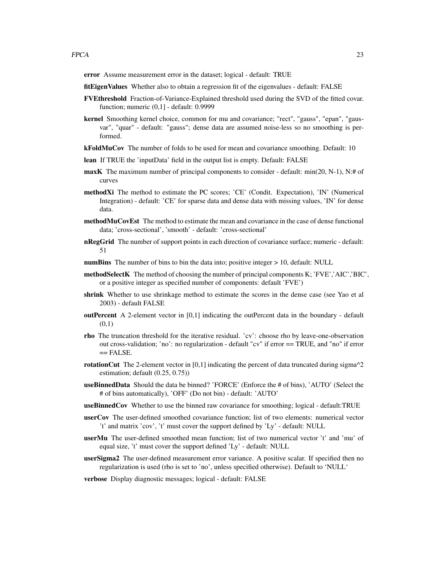error Assume measurement error in the dataset; logical - default: TRUE

- fitEigenValues Whether also to obtain a regression fit of the eigenvalues default: FALSE
- FVEthreshold Fraction-of-Variance-Explained threshold used during the SVD of the fitted covar. function; numeric (0,1] - default: 0.9999
- kernel Smoothing kernel choice, common for mu and covariance; "rect", "gauss", "epan", "gausvar", "quar" - default: "gauss"; dense data are assumed noise-less so no smoothing is performed.
- **kFoldMuCov** The number of folds to be used for mean and covariance smoothing. Default: 10
- lean If TRUE the 'inputData' field in the output list is empty. Default: FALSE
- maxK The maximum number of principal components to consider default: min(20, N-1), N:# of curves
- methodXi The method to estimate the PC scores; 'CE' (Condit. Expectation), 'IN' (Numerical Integration) - default: 'CE' for sparse data and dense data with missing values, 'IN' for dense data.
- methodMuCovEst The method to estimate the mean and covariance in the case of dense functional data; 'cross-sectional', 'smooth' - default: 'cross-sectional'
- nRegGrid The number of support points in each direction of covariance surface; numeric default: 51
- numBins The number of bins to bin the data into; positive integer > 10, default: NULL
- methodSelectK The method of choosing the number of principal components K; 'FVE','AIC','BIC', or a positive integer as specified number of components: default 'FVE')
- shrink Whether to use shrinkage method to estimate the scores in the dense case (see Yao et al 2003) - default FALSE
- outPercent A 2-element vector in [0,1] indicating the outPercent data in the boundary default (0,1)
- rho The truncation threshold for the iterative residual. 'cv': choose rho by leave-one-observation out cross-validation; 'no': no regularization - default "cv" if error == TRUE, and "no" if error  $==$  FALSE.
- rotationCut The 2-element vector in [0,1] indicating the percent of data truncated during sigma $^2$ estimation; default (0.25, 0.75))
- useBinnedData Should the data be binned? 'FORCE' (Enforce the # of bins), 'AUTO' (Select the # of bins automatically), 'OFF' (Do not bin) - default: 'AUTO'
- useBinnedCov Whether to use the binned raw covariance for smoothing; logical default:TRUE
- userCov The user-defined smoothed covariance function; list of two elements: numerical vector 't' and matrix 'cov', 't' must cover the support defined by 'Ly' - default: NULL
- userMu The user-defined smoothed mean function; list of two numerical vector 't' and 'mu' of equal size, 't' must cover the support defined 'Ly' - default: NULL
- userSigma2 The user-defined measurement error variance. A positive scalar. If specified then no regularization is used (rho is set to 'no', unless specified otherwise). Default to 'NULL'
- verbose Display diagnostic messages; logical default: FALSE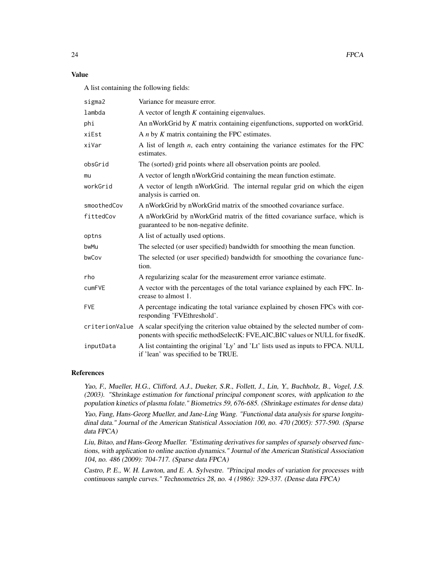#### Value

A list containing the following fields:

| sigma2      | Variance for measure error.                                                                                                                                                   |
|-------------|-------------------------------------------------------------------------------------------------------------------------------------------------------------------------------|
| lambda      | A vector of length $K$ containing eigenvalues.                                                                                                                                |
| phi         | An nWorkGrid by $K$ matrix containing eigenfunctions, supported on workGrid.                                                                                                  |
| xiEst       | A $n$ by $K$ matrix containing the FPC estimates.                                                                                                                             |
| xiVar       | A list of length $n$ , each entry containing the variance estimates for the FPC<br>estimates.                                                                                 |
| obsGrid     | The (sorted) grid points where all observation points are pooled.                                                                                                             |
| mu          | A vector of length nWorkGrid containing the mean function estimate.                                                                                                           |
| workGrid    | A vector of length nWorkGrid. The internal regular grid on which the eigen<br>analysis is carried on.                                                                         |
| smoothedCov | A nWorkGrid by nWorkGrid matrix of the smoothed covariance surface.                                                                                                           |
| fittedCov   | A nWorkGrid by nWorkGrid matrix of the fitted covariance surface, which is<br>guaranteed to be non-negative definite.                                                         |
| optns       | A list of actually used options.                                                                                                                                              |
| bwMu        | The selected (or user specified) bandwidth for smoothing the mean function.                                                                                                   |
| bwCov       | The selected (or user specified) bandwidth for smoothing the covariance func-<br>tion.                                                                                        |
| rho         | A regularizing scalar for the measurement error variance estimate.                                                                                                            |
| cumFVE      | A vector with the percentages of the total variance explained by each FPC. In-<br>crease to almost 1.                                                                         |
| <b>FVE</b>  | A percentage indicating the total variance explained by chosen FPCs with cor-<br>responding 'FVEthreshold'.                                                                   |
|             | criterionValue A scalar specifying the criterion value obtained by the selected number of com-<br>ponents with specific methodSelectK: FVE,AIC,BIC values or NULL for fixedK. |
| inputData   | A list containting the original 'Ly' and 'Lt' lists used as inputs to FPCA. NULL<br>if 'lean' was specified to be TRUE.                                                       |

#### References

Yao, F., Mueller, H.G., Clifford, A.J., Dueker, S.R., Follett, J., Lin, Y., Buchholz, B., Vogel, J.S. (2003). "Shrinkage estimation for functional principal component scores, with application to the population kinetics of plasma folate." Biometrics 59, 676-685. (Shrinkage estimates for dense data)

Yao, Fang, Hans-Georg Mueller, and Jane-Ling Wang. "Functional data analysis for sparse longitudinal data." Journal of the American Statistical Association 100, no. 470 (2005): 577-590. (Sparse data FPCA)

Liu, Bitao, and Hans-Georg Mueller. "Estimating derivatives for samples of sparsely observed functions, with application to online auction dynamics." Journal of the American Statistical Association 104, no. 486 (2009): 704-717. (Sparse data FPCA)

Castro, P. E., W. H. Lawton, and E. A. Sylvestre. "Principal modes of variation for processes with continuous sample curves." Technometrics 28, no. 4 (1986): 329-337. (Dense data FPCA)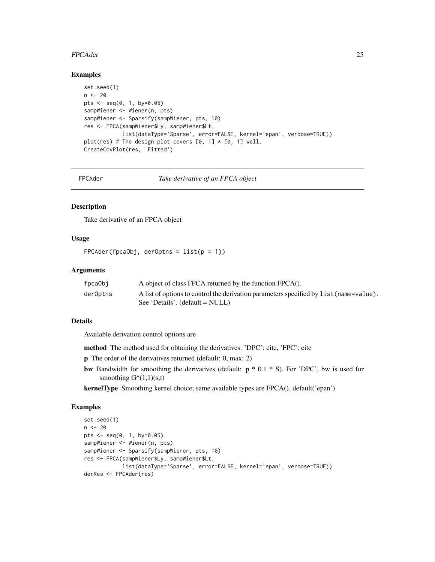#### <span id="page-24-0"></span>FPCAder 25

#### Examples

```
set.seed(1)
n <- 20
pts <- seq(0, 1, by=0.05)
sampWiener <- Wiener(n, pts)
sampWiener <- Sparsify(sampWiener, pts, 10)
res <- FPCA(sampWiener$Ly, sampWiener$Lt,
            list(dataType='Sparse', error=FALSE, kernel='epan', verbose=TRUE))
plot(res) # The design plot covers [0, 1] \times [0, 1] well.
CreateCovPlot(res, 'Fitted')
```
FPCAder *Take derivative of an FPCA object*

#### Description

Take derivative of an FPCA object

# Usage

 $FPCAder(fpcaObj, derOptns = list(p = 1))$ 

#### Arguments

| fpcaObi  | A object of class FPCA returned by the function FPCA().                                |
|----------|----------------------------------------------------------------------------------------|
| derOptns | A list of options to control the derivation parameters specified by list (name=value). |
|          | See 'Details'. $(detault = NULL)$                                                      |

#### Details

Available derivation control options are

method The method used for obtaining the derivatives. 'DPC': cite, 'FPC': cite

p The order of the derivatives returned (default: 0, max: 2)

bw Bandwidth for smoothing the derivatives (default:  $p * 0.1 * S$ ). For 'DPC', bw is used for smoothing  $G^{\wedge}(1,1)(s,t)$ 

kernelType Smoothing kernel choice; same available types are FPCA(). default('epan')

```
set.seed(1)
n < -20pts <- seq(0, 1, by=0.05)
sampWiener <- Wiener(n, pts)
sampWiener <- Sparsify(sampWiener, pts, 10)
res <- FPCA(sampWiener$Ly, sampWiener$Lt,
            list(dataType='Sparse', error=FALSE, kernel='epan', verbose=TRUE))
derRes <- FPCAder(res)
```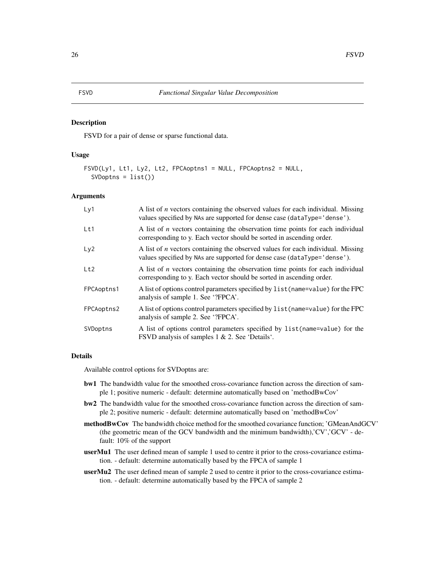#### <span id="page-25-0"></span>Description

FSVD for a pair of dense or sparse functional data.

#### Usage

```
FSVD(Ly1, Lt1, Ly2, Lt2, FPCAoptns1 = NULL, FPCAoptns2 = NULL,
  SVDophns = list()
```
#### Arguments

| Ly1             | A list of <i>n</i> vectors containing the observed values for each individual. Missing<br>values specified by NAs are supported for dense case (dataType='dense'). |
|-----------------|--------------------------------------------------------------------------------------------------------------------------------------------------------------------|
| Lt1             | A list of <i>n</i> vectors containing the observation time points for each individual<br>corresponding to y. Each vector should be sorted in ascending order.      |
| Ly <sub>2</sub> | A list of $n$ vectors containing the observed values for each individual. Missing<br>values specified by NAs are supported for dense case (dataType='dense').      |
| Lt2             | A list of $n$ vectors containing the observation time points for each individual<br>corresponding to y. Each vector should be sorted in ascending order.           |
| FPCAoptns1      | A list of options control parameters specified by list (name=value) for the FPC<br>analysis of sample 1. See '?FPCA'.                                              |
| FPCAoptns2      | A list of options control parameters specified by list (name=value) for the FPC<br>analysis of sample 2. See '?FPCA'.                                              |
| SVDoptns        | A list of options control parameters specified by list (name=value) for the<br>FSVD analysis of samples 1 & 2. See 'Details'.                                      |

#### Details

Available control options for SVDoptns are:

- bw1 The bandwidth value for the smoothed cross-covariance function across the direction of sample 1; positive numeric - default: determine automatically based on 'methodBwCov'
- bw2 The bandwidth value for the smoothed cross-covariance function across the direction of sample 2; positive numeric - default: determine automatically based on 'methodBwCov'
- methodBwCov The bandwidth choice method for the smoothed covariance function; 'GMeanAndGCV' (the geometric mean of the GCV bandwidth and the minimum bandwidth),'CV','GCV' - default: 10% of the support
- userMu1 The user defined mean of sample 1 used to centre it prior to the cross-covariance estimation. - default: determine automatically based by the FPCA of sample 1
- userMu2 The user defined mean of sample 2 used to centre it prior to the cross-covariance estimation. - default: determine automatically based by the FPCA of sample 2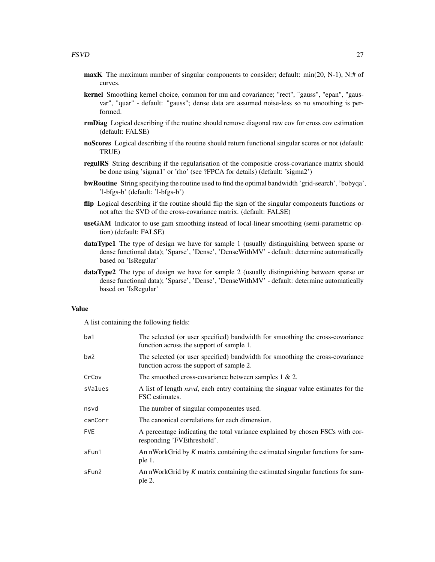- maxK The maximum number of singular components to consider; default: min(20, N-1), N:# of curves.
- kernel Smoothing kernel choice, common for mu and covariance; "rect", "gauss", "epan", "gausvar", "quar" - default: "gauss"; dense data are assumed noise-less so no smoothing is performed.
- rmDiag Logical describing if the routine should remove diagonal raw cov for cross cov estimation (default: FALSE)
- noScores Logical describing if the routine should return functional singular scores or not (default: TRUE)
- regulRS String describing if the regularisation of the compositie cross-covariance matrix should be done using 'sigma1' or 'rho' (see ?FPCA for details) (default: 'sigma2')
- bwRoutine String specifying the routine used to find the optimal bandwidth 'grid-search', 'bobyqa', 'l-bfgs-b' (default: 'l-bfgs-b')
- flip Logical describing if the routine should flip the sign of the singular components functions or not after the SVD of the cross-covariance matrix. (default: FALSE)
- useGAM Indicator to use gam smoothing instead of local-linear smoothing (semi-parametric option) (default: FALSE)
- dataType1 The type of design we have for sample 1 (usually distinguishing between sparse or dense functional data); 'Sparse', 'Dense', 'DenseWithMV' - default: determine automatically based on 'IsRegular'
- dataType2 The type of design we have for sample 2 (usually distinguishing between sparse or dense functional data); 'Sparse', 'Dense', 'DenseWithMV' - default: determine automatically based on 'IsRegular'

#### Value

A list containing the following fields:

| bw1     | The selected (or user specified) bandwidth for smoothing the cross-covariance<br>function across the support of sample 1. |
|---------|---------------------------------------------------------------------------------------------------------------------------|
| bw2     | The selected (or user specified) bandwidth for smoothing the cross-covariance<br>function across the support of sample 2. |
| CrCov   | The smoothed cross-covariance between samples $1 \& 2$ .                                                                  |
| sValues | A list of length <i>nsvd</i> , each entry containing the singuar value estimates for the<br>FSC estimates.                |
| nsvd    | The number of singular componentes used.                                                                                  |
| canCorr | The canonical correlations for each dimension.                                                                            |
| FVE.    | A percentage indicating the total variance explained by chosen FSCs with cor-<br>responding 'FVEthreshold'.               |
| sFun1   | An nWorkGrid by $K$ matrix containing the estimated singular functions for sam-<br>ple 1.                                 |
| sFun2   | An nWorkGrid by $K$ matrix containing the estimated singular functions for sam-<br>ple 2.                                 |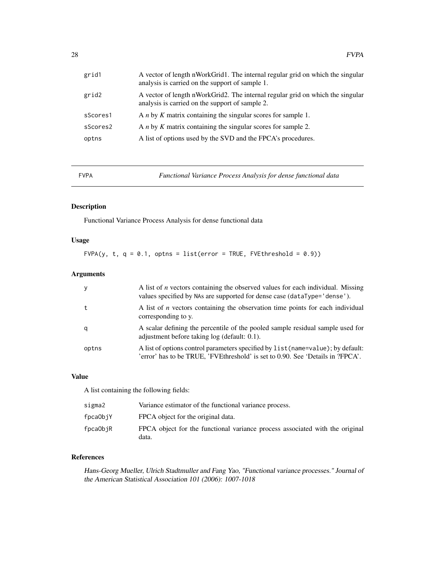<span id="page-27-0"></span>

| grid1    | A vector of length nWorkGrid1. The internal regular grid on which the singular<br>analysis is carried on the support of sample 1. |
|----------|-----------------------------------------------------------------------------------------------------------------------------------|
| grid2    | A vector of length nWorkGrid2. The internal regular grid on which the singular<br>analysis is carried on the support of sample 2. |
| sScores1 | A $n$ by $K$ matrix containing the singular scores for sample 1.                                                                  |
| sScores2 | A $n$ by $K$ matrix containing the singular scores for sample 2.                                                                  |
| optns    | A list of options used by the SVD and the FPCA's procedures.                                                                      |
|          |                                                                                                                                   |

FVPA *Functional Variance Process Analysis for dense functional data*

# Description

Functional Variance Process Analysis for dense functional data

# Usage

FVPA(y, t,  $q = 0.1$ , optns = list(error = TRUE, FVEthreshold = 0.9))

# Arguments

| y     | A list of $n$ vectors containing the observed values for each individual. Missing<br>values specified by NAs are supported for dense case (dataType='dense').      |
|-------|--------------------------------------------------------------------------------------------------------------------------------------------------------------------|
|       | A list of <i>n</i> vectors containing the observation time points for each individual<br>corresponding to y.                                                       |
| a     | A scalar defining the percentile of the pooled sample residual sample used for<br>adjustment before taking log (default: 0.1).                                     |
| optns | A list of options control parameters specified by list (name=value); by default:<br>'error' has to be TRUE, 'FVEthreshold' is set to 0.90. See 'Details in 'FPCA'. |

#### Value

A list containing the following fields:

| sigma2   | Variance estimator of the functional variance process.                                |
|----------|---------------------------------------------------------------------------------------|
| fpcaObjY | FPCA object for the original data.                                                    |
| fpcaObjR | FPCA object for the functional variance process associated with the original<br>data. |

# References

Hans-Georg Mueller, Ulrich Stadtmuller and Fang Yao, "Functional variance processes." Journal of the American Statistical Association 101 (2006): 1007-1018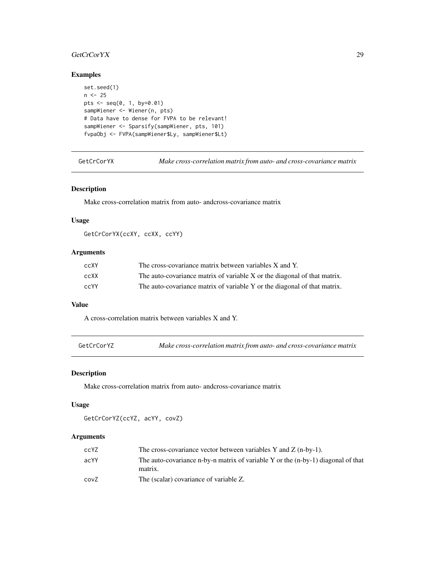# <span id="page-28-0"></span>GetCrCorYX 29

# Examples

```
set.seed(1)
n < -25pts <- seq(0, 1, by=0.01)
sampWiener <- Wiener(n, pts)
# Data have to dense for FVPA to be relevant!
sampWiener <- Sparsify(sampWiener, pts, 101)
fvpaObj <- FVPA(sampWiener$Ly, sampWiener$Lt)
```
GetCrCorYX *Make cross-correlation matrix from auto- and cross-covariance matrix*

#### Description

Make cross-correlation matrix from auto- andcross-covariance matrix

#### Usage

GetCrCorYX(ccXY, ccXX, ccYY)

# Arguments

| ccXY | The cross-covariance matrix between variables X and Y.                   |
|------|--------------------------------------------------------------------------|
| ccXX | The auto-covariance matrix of variable X or the diagonal of that matrix. |
| ccYY | The auto-covariance matrix of variable Y or the diagonal of that matrix. |

# Value

A cross-correlation matrix between variables X and Y.

```
GetCrCorYZ Make cross-correlation matrix from auto- and cross-covariance matrix
```
#### Description

Make cross-correlation matrix from auto- andcross-covariance matrix

#### Usage

```
GetCrCorYZ(ccYZ, acYY, covZ)
```

| ccYZ | The cross-covariance vector between variables Y and Z $(n-by-1)$ .                            |
|------|-----------------------------------------------------------------------------------------------|
| acYY | The auto-covariance n-by-n matrix of variable Y or the $(n-by-1)$ diagonal of that<br>matrix. |
| covZ | The (scalar) covariance of variable Z.                                                        |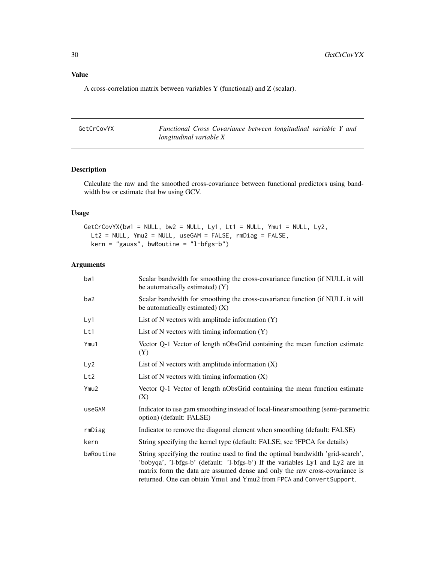# <span id="page-29-0"></span>Value

A cross-correlation matrix between variables Y (functional) and Z (scalar).

GetCrCovYX *Functional Cross Covariance between longitudinal variable Y and longitudinal variable X*

# Description

Calculate the raw and the smoothed cross-covariance between functional predictors using bandwidth bw or estimate that bw using GCV.

# Usage

```
GetCrCovYX(bw1 = NULL, bw2 = NULL, Ly1, Lt1 = NULL, Ymu1 = NULL, Ly2,
 Lt2 = NULL, Ymu2 = NULL, useGAM = FALSE, rmDiag = FALSE,
 kern = "gauss", bwRoutine = "l-bfgs-b")
```

| bw1              | Scalar bandwidth for smoothing the cross-covariance function (if NULL it will<br>be automatically estimated) (Y)                                                                                                                                                                                                          |
|------------------|---------------------------------------------------------------------------------------------------------------------------------------------------------------------------------------------------------------------------------------------------------------------------------------------------------------------------|
| bw <sub>2</sub>  | Scalar bandwidth for smoothing the cross-covariance function (if NULL it will<br>be automatically estimated) $(X)$                                                                                                                                                                                                        |
| Ly1              | List of N vectors with amplitude information $(Y)$                                                                                                                                                                                                                                                                        |
| Lt1              | List of N vectors with timing information $(Y)$                                                                                                                                                                                                                                                                           |
| Ymu1             | Vector Q-1 Vector of length nObsGrid containing the mean function estimate<br>(Y)                                                                                                                                                                                                                                         |
| Ly2              | List of N vectors with amplitude information $(X)$                                                                                                                                                                                                                                                                        |
| Lt2              | List of $N$ vectors with timing information $(X)$                                                                                                                                                                                                                                                                         |
| Ymu <sub>2</sub> | Vector Q-1 Vector of length nObsGrid containing the mean function estimate<br>(X)                                                                                                                                                                                                                                         |
| useGAM           | Indicator to use gam smoothing instead of local-linear smoothing (semi-parametric<br>option) (default: FALSE)                                                                                                                                                                                                             |
| rmDiag           | Indicator to remove the diagonal element when smoothing (default: FALSE)                                                                                                                                                                                                                                                  |
| kern             | String specifying the kernel type (default: FALSE; see ?FPCA for details)                                                                                                                                                                                                                                                 |
| bwRoutine        | String specifying the routine used to find the optimal bandwidth 'grid-search',<br>'bobyqa', 'l-bfgs-b' (default: 'l-bfgs-b') If the variables Ly1 and Ly2 are in<br>matrix form the data are assumed dense and only the raw cross-covariance is<br>returned. One can obtain Ymu1 and Ymu2 from FPCA and Convert Support. |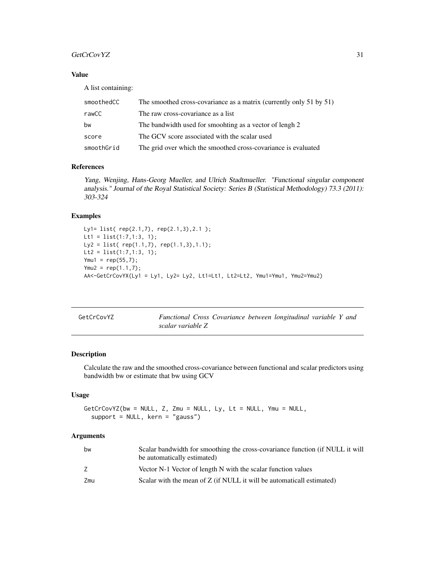#### <span id="page-30-0"></span>GetCrCovYZ 31

# Value

A list containing:

| smoothedCC | The smoothed cross-covariance as a matrix (currently only 51 by 51) |
|------------|---------------------------------------------------------------------|
| rawCC      | The raw cross-covariance as a list                                  |
| bw         | The bandwidth used for smoohting as a vector of lengh 2             |
| score      | The GCV score associated with the scalar used                       |
| smoothGrid | The grid over which the smoothed cross-covariance is evaluated      |

#### References

Yang, Wenjing, Hans-Georg Mueller, and Ulrich Stadtmueller. "Functional singular component analysis." Journal of the Royal Statistical Society: Series B (Statistical Methodology) 73.3 (2011): 303-324

# Examples

```
Ly1= list( rep(2.1,7), rep(2.1,3),2.1 );
Lt1 = list(1:7,1:3, 1);
Ly2 = list( rep(1.1,7), rep(1.1,3), 1.1);
Lt2 = list(1:7,1:3, 1);Ymu1 = rep(55, 7);Ymu2 = rep(1.1, 7);AA<-GetCrCovYX(Ly1 = Ly1, Ly2= Ly2, Lt1=Lt1, Lt2=Lt2, Ymu1=Ymu1, Ymu2=Ymu2)
```

| GetCrCovYZ |                   |  | Functional Cross Covariance between longitudinal variable Y and |  |  |
|------------|-------------------|--|-----------------------------------------------------------------|--|--|
|            | scalar variable Z |  |                                                                 |  |  |

#### Description

Calculate the raw and the smoothed cross-covariance between functional and scalar predictors using bandwidth bw or estimate that bw using GCV

#### Usage

```
GetCrCovYZ(bw = NULL, Z, Zmu = NULL, Ly, Lt = NULL, Ymu = NULL,
  support = NULL, kern = "gauss")
```

| bw  | Scalar bandwidth for smoothing the cross-covariance function (if NULL it will<br>be automatically estimated) |
|-----|--------------------------------------------------------------------------------------------------------------|
| Z   | Vector N-1 Vector of length N with the scalar function values                                                |
| Zmu | Scalar with the mean of $Z$ (if NULL it will be automaticall estimated)                                      |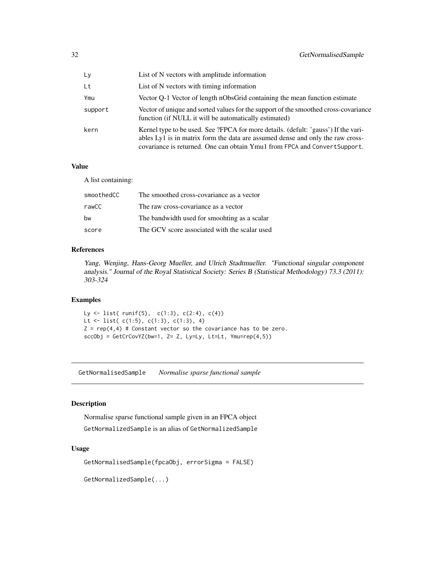<span id="page-31-0"></span>

| Ly      | List of N vectors with amplitude information                                                                                                                                                                                                       |
|---------|----------------------------------------------------------------------------------------------------------------------------------------------------------------------------------------------------------------------------------------------------|
| Lt      | List of N vectors with timing information                                                                                                                                                                                                          |
| Ymu     | Vector Q-1 Vector of length nObsGrid containing the mean function estimate                                                                                                                                                                         |
| support | Vector of unique and sorted values for the support of the smoothed cross-covariance<br>function (if NULL it will be automatically estimated)                                                                                                       |
| kern    | Kernel type to be used. See ?FPCA for more details. (defult: 'gauss') If the vari-<br>ables Ly1 is in matrix form the data are assumed dense and only the raw cross-<br>covariance is returned. One can obtain Ymu1 from FPCA and Convert Support. |

#### Value

A list containing:

| The smoothed cross-covariance as a vector     |
|-----------------------------------------------|
| The raw cross-covariance as a vector          |
| The bandwidth used for smoohting as a scalar  |
| The GCV score associated with the scalar used |
|                                               |

# References

Yang, Wenjing, Hans-Georg Mueller, and Ulrich Stadtmueller. "Functional singular component analysis." Journal of the Royal Statistical Society: Series B (Statistical Methodology) 73.3 (2011): 303-324

# Examples

Ly  $\leftarrow$  list( runif(5), c(1:3), c(2:4), c(4)) Lt <- list( $c(1:5)$ ,  $c(1:3)$ ,  $c(1:3)$ , 4)  $Z = rep(4,4)$  # Constant vector so the covariance has to be zero.  $sccObj = GetCrCovYZ(bw=1, Z= Z, Ly=Ly, Lt=Lt, Ymu=rep(4,5))$ 

GetNormalisedSample *Normalise sparse functional sample*

#### Description

Normalise sparse functional sample given in an FPCA object GetNormalizedSample is an alias of GetNormalizedSample

# Usage

```
GetNormalisedSample(fpcaObj, errorSigma = FALSE)
```
GetNormalizedSample(...)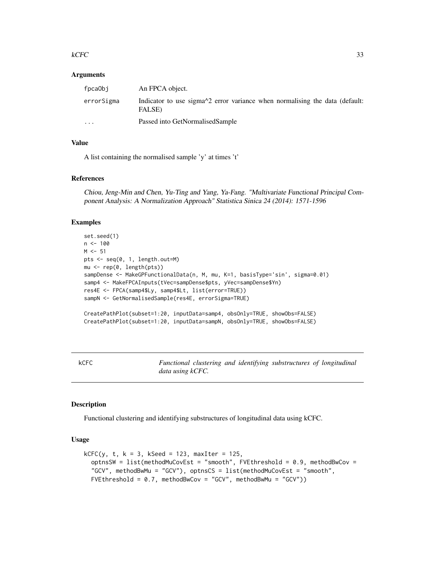#### <span id="page-32-0"></span> $kCFC$  33

#### Arguments

| fpcaObi    | An FPCA object.                                                                                                            |
|------------|----------------------------------------------------------------------------------------------------------------------------|
| errorSigma | Indicator to use sigma <sup><math>\land</math>2</sup> error variance when normalising the data (default:<br><b>FALSE</b> ) |
| $\cdots$   | Passed into GetNormalisedSample                                                                                            |

# Value

A list containing the normalised sample 'y' at times 't'

#### References

Chiou, Jeng-Min and Chen, Yu-Ting and Yang, Ya-Fang. "Multivariate Functional Principal Component Analysis: A Normalization Approach" Statistica Sinica 24 (2014): 1571-1596

#### Examples

```
set.seed(1)
n < -100M < -51pts <- seq(0, 1, length.out=M)
mu <- rep(0, length(pts))
sampDense <- MakeGPFunctionalData(n, M, mu, K=1, basisType='sin', sigma=0.01)
samp4 <- MakeFPCAInputs(tVec=sampDense$pts, yVec=sampDense$Yn)
res4E <- FPCA(samp4$Ly, samp4$Lt, list(error=TRUE))
sampN <- GetNormalisedSample(res4E, errorSigma=TRUE)
CreatePathPlot(subset=1:20, inputData=samp4, obsOnly=TRUE, showObs=FALSE)
CreatePathPlot(subset=1:20, inputData=sampN, obsOnly=TRUE, showObs=FALSE)
```
kCFC *Functional clustering and identifying substructures of longitudinal data using kCFC.*

#### Description

Functional clustering and identifying substructures of longitudinal data using kCFC.

#### Usage

```
kCFC(y, t, k = 3, kSeed = 123, maxIter = 125,
  optnsSW = list(methodMuCovEst = "smooth", FVEthreshold = 0.9, methodBwCov =
  "GCV", methodBwMu = "GCV"), optnsCS = list(methodMuCovEst = "smooth",
  FVEthreshold = 0.7, methodBwCov = "GCV", methodBwMu = "GCV"))
```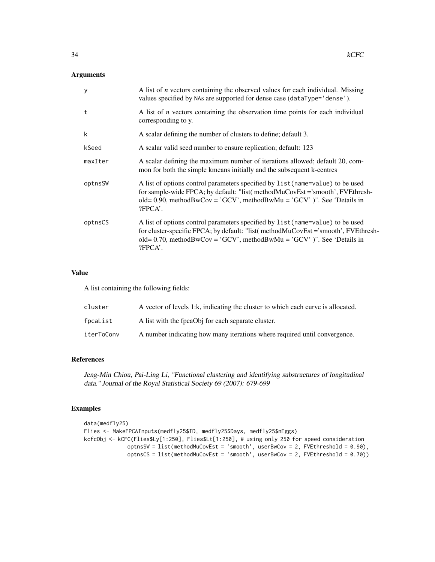# Arguments

| y       | A list of <i>n</i> vectors containing the observed values for each individual. Missing<br>values specified by NAs are supported for dense case (dataType='dense').                                                                                               |
|---------|------------------------------------------------------------------------------------------------------------------------------------------------------------------------------------------------------------------------------------------------------------------|
| t       | A list of $n$ vectors containing the observation time points for each individual<br>corresponding to y.                                                                                                                                                          |
| k       | A scalar defining the number of clusters to define; default 3.                                                                                                                                                                                                   |
| kSeed   | A scalar valid seed number to ensure replication; default: 123                                                                                                                                                                                                   |
| maxIter | A scalar defining the maximum number of iterations allowed; default 20, com-<br>mon for both the simple kmeans initially and the subsequent k-centres                                                                                                            |
| optnsSW | A list of options control parameters specified by list (name=value) to be used<br>for sample-wide FPCA; by default: "list( methodMuCovEst ='smooth', FVEthresh-<br>old= $0.90$ , methodBwCov = 'GCV', methodBwMu = 'GCV' )". See 'Details in<br>?FPCA'.          |
| optnsCS | A list of options control parameters specified by list (name=value) to be used<br>for cluster-specific FPCA; by default: "list( methodMuCovEst = 'smooth', FVEthresh-<br>old= 0.70, methodBwCov = 'GCV', methodBwMu = 'GCV' )". See 'Details in<br>$?$ FPCA $'.$ |

#### Value

A list containing the following fields:

| cluster    | A vector of levels 1:k, indicating the cluster to which each curve is allocated. |
|------------|----------------------------------------------------------------------------------|
| fpcaList   | A list with the fpcaObj for each separate cluster.                               |
| iterToConv | A number indicating how many iterations where required until convergence.        |

# References

Jeng-Min Chiou, Pai-Ling Li, "Functional clustering and identifying substructures of longitudinal data." Journal of the Royal Statistical Society 69 (2007): 679-699

```
data(medfly25)
Flies <- MakeFPCAInputs(medfly25$ID, medfly25$Days, medfly25$nEggs)
kcfcObj <- kCFC(Flies$Ly[1:250], Flies$Lt[1:250], # using only 250 for speed consideration
             optnsSW = list(methodMuCovEst = 'smooth', userBwCov = 2, FVEthreshold = 0.90),
             optnsCS = list(methodMuCovEst = 'smooth', userBwCov = 2, FVEthreshold = 0.70)
```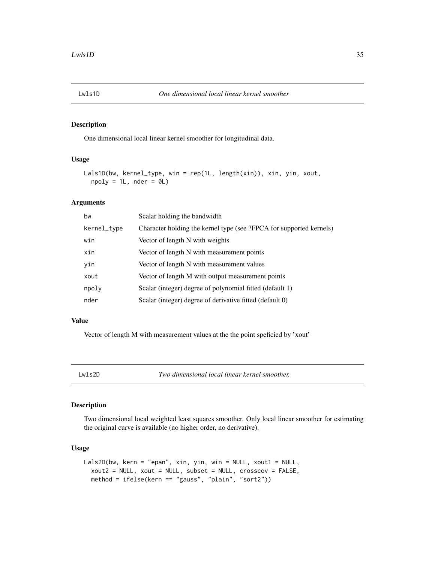# <span id="page-34-0"></span>Description

One dimensional local linear kernel smoother for longitudinal data.

# Usage

```
Lwls1D(bw, kernel_type, win = rep(1L, length(xin)), xin, yin, xout,
 npoly = 1L, nder = 0L
```
# Arguments

| bw          | Scalar holding the bandwidth                                        |
|-------------|---------------------------------------------------------------------|
| kernel_type | Character holding the kernel type (see ?FPCA for supported kernels) |
| win         | Vector of length N with weights                                     |
| xin         | Vector of length N with measurement points                          |
| yin         | Vector of length N with measurement values                          |
| xout        | Vector of length M with output measurement points                   |
| npoly       | Scalar (integer) degree of polynomial fitted (default 1)            |
| nder        | Scalar (integer) degree of derivative fitted (default 0)            |

#### Value

Vector of length M with measurement values at the the point speficied by 'xout'

Lwls2D *Two dimensional local linear kernel smoother.*

# Description

Two dimensional local weighted least squares smoother. Only local linear smoother for estimating the original curve is available (no higher order, no derivative).

# Usage

```
Lwls2D(bw, kern = "epan", xin, yin, win = NULL, xout1 = NULL,
 xout2 = NULL, xout = NULL, subset = NULL, crosscov = FALSE,
 method = ifelse(kern == "gauss", "plain", "sort2"))
```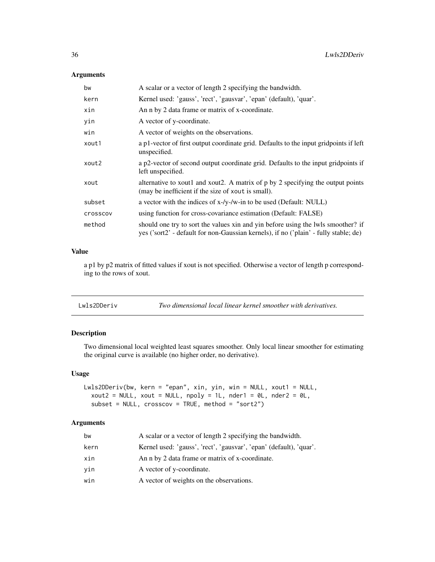# <span id="page-35-0"></span>Arguments

| bw       | A scalar or a vector of length 2 specifying the bandwidth.                                                                                                               |
|----------|--------------------------------------------------------------------------------------------------------------------------------------------------------------------------|
| kern     | Kernel used: 'gauss', 'rect', 'gausvar', 'epan' (default), 'quar'.                                                                                                       |
| xin      | An n by 2 data frame or matrix of x-coordinate.                                                                                                                          |
| yin      | A vector of y-coordinate.                                                                                                                                                |
| win      | A vector of weights on the observations.                                                                                                                                 |
| xout1    | a p1-vector of first output coordinate grid. Defaults to the input gridpoints if left<br>unspecified.                                                                    |
| xout2    | a p2-vector of second output coordinate grid. Defaults to the input gridpoints if<br>left unspecified.                                                                   |
| xout     | alternative to xout1 and xout2. A matrix of p by 2 specifying the output points<br>(may be inefficient if the size of xout is small).                                    |
| subset   | a vector with the indices of x-/y-/w-in to be used (Default: NULL)                                                                                                       |
| crosscov | using function for cross-covariance estimation (Default: FALSE)                                                                                                          |
| method   | should one try to sort the values xin and yin before using the lwls smoother? if<br>yes ('sort2' - default for non-Gaussian kernels), if no ('plain' - fully stable; de) |

#### Value

a p1 by p2 matrix of fitted values if xout is not specified. Otherwise a vector of length p corresponding to the rows of xout.

| Lwls2DDeriv | Two dimensional local linear kernel smoother with derivatives. |
|-------------|----------------------------------------------------------------|
|-------------|----------------------------------------------------------------|

# Description

Two dimensional local weighted least squares smoother. Only local linear smoother for estimating the original curve is available (no higher order, no derivative).

#### Usage

```
Lwls2DDeriv(bw, kern = "epan", xin, yin, win = NULL, xout1 = NULL,
  xout2 = NULL, xout = NULL, npoly = 1L, nder1 = 0L, nder2 = 0L,
  subset = NULL, \text{crossover} = \text{TRUE}, method = "sort2")
```

| bw   | A scalar or a vector of length 2 specifying the bandwidth.         |
|------|--------------------------------------------------------------------|
| kern | Kernel used: 'gauss', 'rect', 'gausvar', 'epan' (default), 'quar'. |
| xin  | An n by 2 data frame or matrix of x-coordinate.                    |
| vin  | A vector of y-coordinate.                                          |
| win  | A vector of weights on the observations.                           |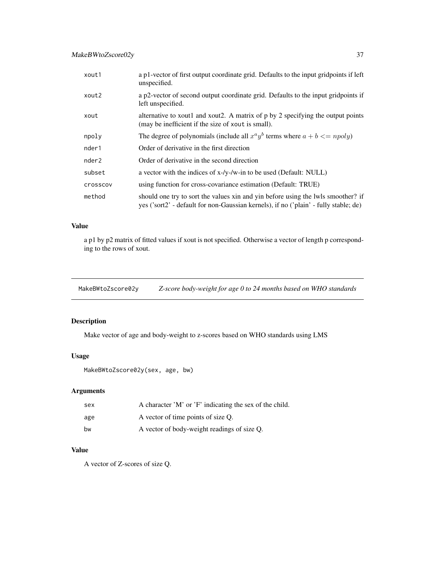<span id="page-36-0"></span>

| xout1             | a p1-vector of first output coordinate grid. Defaults to the input gridpoints if left<br>unspecified.                                                                    |
|-------------------|--------------------------------------------------------------------------------------------------------------------------------------------------------------------------|
| xout2             | a p2-vector of second output coordinate grid. Defaults to the input gridpoints if<br>left unspecified.                                                                   |
| xout              | alternative to xout1 and xout2. A matrix of p by 2 specifying the output points<br>(may be inefficient if the size of xout is small).                                    |
| npoly             | The degree of polynomials (include all $x^a y^b$ terms where $a + b \leq n \text{poly}$ )                                                                                |
| nder1             | Order of derivative in the first direction                                                                                                                               |
| nder <sub>2</sub> | Order of derivative in the second direction                                                                                                                              |
| subset            | a vector with the indices of x-/y-/w-in to be used (Default: NULL)                                                                                                       |
| <b>Crosscov</b>   | using function for cross-covariance estimation (Default: TRUE)                                                                                                           |
| method            | should one try to sort the values xin and yin before using the lwls smoother? if<br>yes ('sort2' - default for non-Gaussian kernels), if no ('plain' - fully stable; de) |

#### Value

a p1 by p2 matrix of fitted values if xout is not specified. Otherwise a vector of length p corresponding to the rows of xout.

MakeBWtoZscore02y *Z-score body-weight for age 0 to 24 months based on WHO standards*

# Description

Make vector of age and body-weight to z-scores based on WHO standards using LMS

#### Usage

MakeBWtoZscore02y(sex, age, bw)

# Arguments

| sex | A character 'M' or 'F' indicating the sex of the child. |
|-----|---------------------------------------------------------|
| age | A vector of time points of size O.                      |
| hw  | A vector of body-weight readings of size Q.             |

#### Value

A vector of Z-scores of size Q.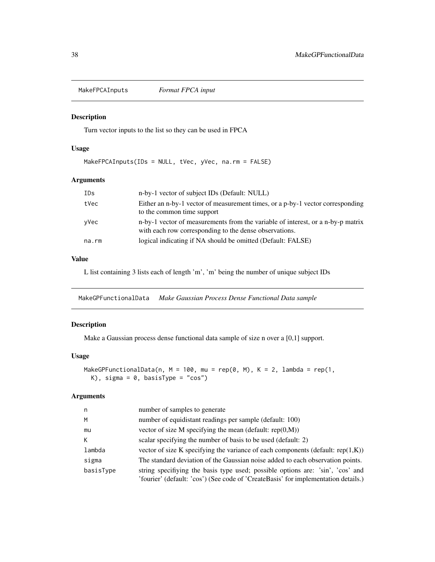<span id="page-37-0"></span>MakeFPCAInputs *Format FPCA input*

# Description

Turn vector inputs to the list so they can be used in FPCA

# Usage

MakeFPCAInputs(IDs = NULL, tVec, yVec, na.rm = FALSE)

# Arguments

| IDs   | n-by-1 vector of subject IDs (Default: NULL)                                                                                              |
|-------|-------------------------------------------------------------------------------------------------------------------------------------------|
| tVec  | Either an n-by-1 vector of measurement times, or a p-by-1 vector corresponding<br>to the common time support                              |
| yVec  | n-by-1 vector of measurements from the variable of interest, or a n-by-p matrix<br>with each row corresponding to the dense observations. |
| na.rm | logical indicating if NA should be omitted (Default: FALSE)                                                                               |

# Value

L list containing 3 lists each of length 'm', 'm' being the number of unique subject IDs

MakeGPFunctionalData *Make Gaussian Process Dense Functional Data sample*

## Description

Make a Gaussian process dense functional data sample of size n over a [0,1] support.

#### Usage

```
MakeGPFunctionalData(n, M = 100, mu = rep(0, M), K = 2, lambda = rep(1,
 K), sigma = 0, basisType = "cos")
```

| n         | number of samples to generate                                                                                                                                        |
|-----------|----------------------------------------------------------------------------------------------------------------------------------------------------------------------|
| M         | number of equidistant readings per sample (default: 100)                                                                                                             |
| mu        | vector of size M specifying the mean (default: $rep(0,M)$ )                                                                                                          |
| K         | scalar specifying the number of basis to be used (default: 2)                                                                                                        |
| lambda    | vector of size K specifying the variance of each components (default: rep $(1,K)$ )                                                                                  |
| sigma     | The standard deviation of the Gaussian noise added to each observation points.                                                                                       |
| basisType | string specifiying the basis type used; possible options are: 'sin', 'cos' and<br>'fourier' (default: 'cos') (See code of 'CreateBasis' for implementation details.) |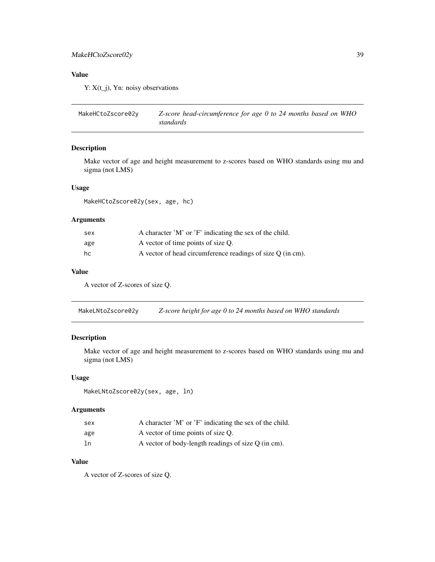# <span id="page-38-0"></span>MakeHCtoZscore02y 39

# Value

Y:  $X(t_i)$ , Yn: noisy observations

```
MakeHCtoZscore02y Z-score head-circumference for age 0 to 24 months based on WHO
                       standards
```
# Description

Make vector of age and height measurement to z-scores based on WHO standards using mu and sigma (not LMS)

# Usage

MakeHCtoZscore02y(sex, age, hc)

# Arguments

| sex | A character 'M' or 'F' indicating the sex of the child.    |
|-----|------------------------------------------------------------|
| age | A vector of time points of size Q.                         |
| hc  | A vector of head circumference readings of size Q (in cm). |

#### Value

A vector of Z-scores of size Q.

MakeLNtoZscore02y *Z-score height for age 0 to 24 months based on WHO standards*

# Description

Make vector of age and height measurement to z-scores based on WHO standards using mu and sigma (not LMS)

# Usage

MakeLNtoZscore02y(sex, age, ln)

# Arguments

| sex | A character 'M' or 'F' indicating the sex of the child. |
|-----|---------------------------------------------------------|
| age | A vector of time points of size Q.                      |
| ln  | A vector of body-length readings of size $Q$ (in cm).   |

# Value

A vector of Z-scores of size Q.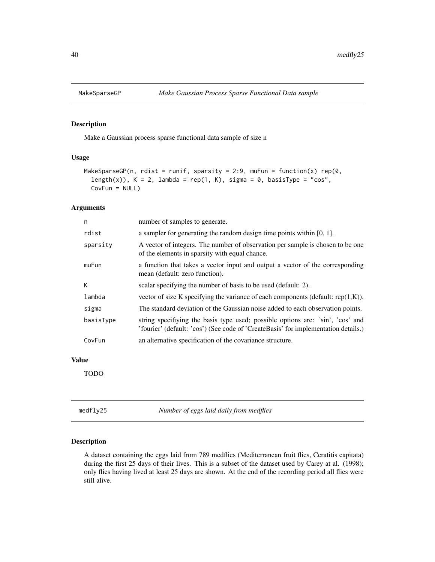<span id="page-39-0"></span>

# Description

Make a Gaussian process sparse functional data sample of size n

#### Usage

```
MakeSparseGP(n, rdist = runif, sparsity = 2:9, muFun = function(x) rep(0,
  length(x)), K = 2, lambda = rep(1, K), sigma = 0, basisType = "cos",
 CovFun = NULL)
```
#### Arguments

| n         | number of samples to generate.                                                                                                                                       |
|-----------|----------------------------------------------------------------------------------------------------------------------------------------------------------------------|
| rdist     | a sampler for generating the random design time points within $[0, 1]$ .                                                                                             |
| sparsity  | A vector of integers. The number of observation per sample is chosen to be one<br>of the elements in sparsity with equal chance.                                     |
| muFun     | a function that takes a vector input and output a vector of the corresponding<br>mean (default: zero function).                                                      |
| К         | scalar specifying the number of basis to be used (default: 2).                                                                                                       |
| lambda    | vector of size K specifying the variance of each components (default: $rep(1,K)$ ).                                                                                  |
| sigma     | The standard deviation of the Gaussian noise added to each observation points.                                                                                       |
| basisType | string specifiying the basis type used; possible options are: 'sin', 'cos' and<br>'fourier' (default: 'cos') (See code of 'CreateBasis' for implementation details.) |
| CovFun    | an alternative specification of the covariance structure.                                                                                                            |

#### Value

TODO

medfly25 *Number of eggs laid daily from medflies*

#### Description

A dataset containing the eggs laid from 789 medflies (Mediterranean fruit flies, Ceratitis capitata) during the first 25 days of their lives. This is a subset of the dataset used by Carey at al. (1998); only flies having lived at least 25 days are shown. At the end of the recording period all flies were still alive.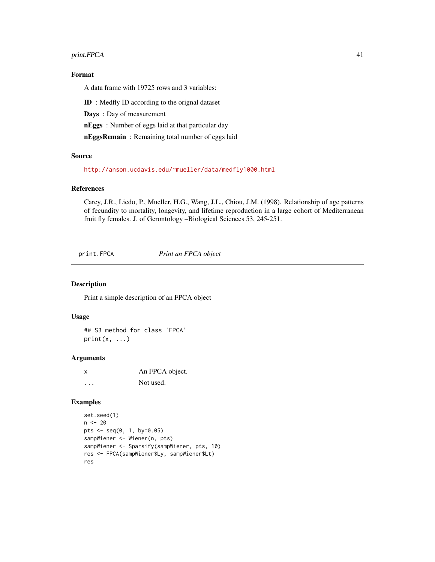#### <span id="page-40-0"></span>print.FPCA 41

# Format

A data frame with 19725 rows and 3 variables:

ID : Medfly ID according to the orignal dataset

Days : Day of measurement

nEggs : Number of eggs laid at that particular day

nEggsRemain : Remaining total number of eggs laid

# Source

<http://anson.ucdavis.edu/~mueller/data/medfly1000.html>

#### References

Carey, J.R., Liedo, P., Mueller, H.G., Wang, J.L., Chiou, J.M. (1998). Relationship of age patterns of fecundity to mortality, longevity, and lifetime reproduction in a large cohort of Mediterranean fruit fly females. J. of Gerontology –Biological Sciences 53, 245-251.

print.FPCA *Print an FPCA object*

#### Description

Print a simple description of an FPCA object

# Usage

## S3 method for class 'FPCA'  $print(x, \ldots)$ 

#### Arguments

x An FPCA object. ... Not used.

```
set.seed(1)
n < - 20pts \leq - seq(0, 1, by=0.05)
sampWiener <- Wiener(n, pts)
sampWiener <- Sparsify(sampWiener, pts, 10)
res <- FPCA(sampWiener$Ly, sampWiener$Lt)
res
```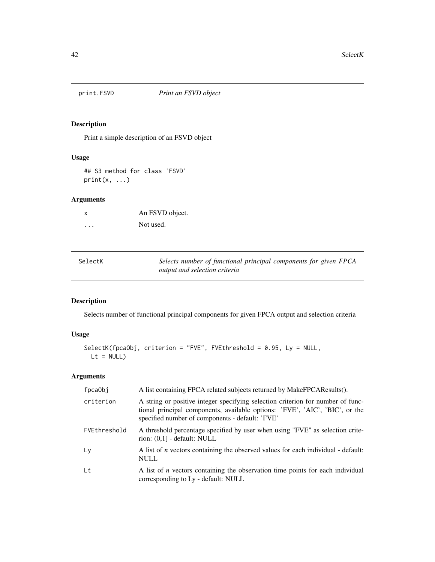<span id="page-41-0"></span>

# Description

Print a simple description of an FSVD object

# Usage

## S3 method for class 'FSVD'  $print(x, \ldots)$ 

# Arguments

| X | An FSVD object. |
|---|-----------------|
| . | Not used.       |

| SelectK | Selects number of functional principal components for given FPCA |
|---------|------------------------------------------------------------------|
|         | <i>output and selection criteria</i>                             |

# Description

Selects number of functional principal components for given FPCA output and selection criteria

# Usage

```
SelectK(fpcaObj, criterion = "FVE", FVEthreshold = 0.95, Ly = NULL,
 Lt = NULL
```

| fpcaObj      | A list containing FPCA related subjects returned by MakeFPCAResults().                                                                                                                                            |
|--------------|-------------------------------------------------------------------------------------------------------------------------------------------------------------------------------------------------------------------|
| criterion    | A string or positive integer specifying selection criterion for number of func-<br>tional principal components, available options: 'FVE', 'AIC', 'BIC', or the<br>specified number of components - default: 'FVE' |
| FVEthreshold | A threshold percentage specified by user when using "FVE" as selection crite-<br>rion: $(0,1]$ - default: NULL                                                                                                    |
| Ly           | A list of <i>n</i> vectors containing the observed values for each individual - default:<br><b>NULL</b>                                                                                                           |
| Lt           | A list of $n$ vectors containing the observation time points for each individual<br>corresponding to Ly - default: NULL                                                                                           |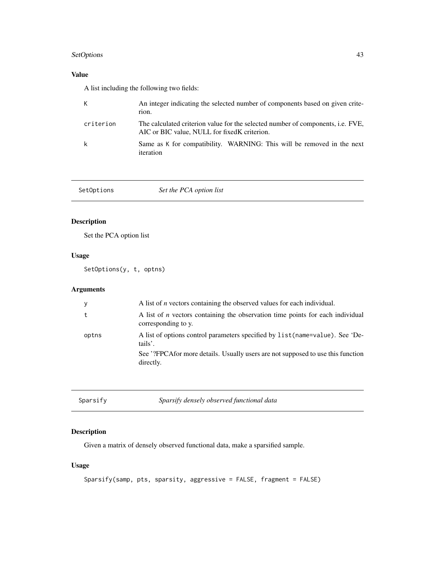# <span id="page-42-0"></span>SetOptions 43

# Value

A list including the following two fields:

| K         | An integer indicating the selected number of components based on given crite-<br>rion.                                                  |
|-----------|-----------------------------------------------------------------------------------------------------------------------------------------|
| criterion | The calculated criterion value for the selected number of components, <i>i.e.</i> FVE,<br>AIC or BIC value, NULL for fixed K criterion. |
| k         | Same as K for compatibility. WARNING: This will be removed in the next<br>iteration                                                     |

| Set the PCA option list<br>SetOptions |
|---------------------------------------|
|---------------------------------------|

# Description

Set the PCA option list

# Usage

SetOptions(y, t, optns)

# Arguments

| y     | A list of <i>n</i> vectors containing the observed values for each individual.                               |
|-------|--------------------------------------------------------------------------------------------------------------|
|       | A list of <i>n</i> vectors containing the observation time points for each individual<br>corresponding to y. |
| optns | A list of options control parameters specified by list (name=value). See 'De-<br>tails'.                     |
|       | See '?FPCAfor more details. Usually users are not supposed to use this function<br>directly.                 |
|       |                                                                                                              |

| Sparsify | Sparsify densely observed functional data |
|----------|-------------------------------------------|
|----------|-------------------------------------------|

# Description

Given a matrix of densely observed functional data, make a sparsified sample.

# Usage

```
Sparsify(samp, pts, sparsity, aggressive = FALSE, fragment = FALSE)
```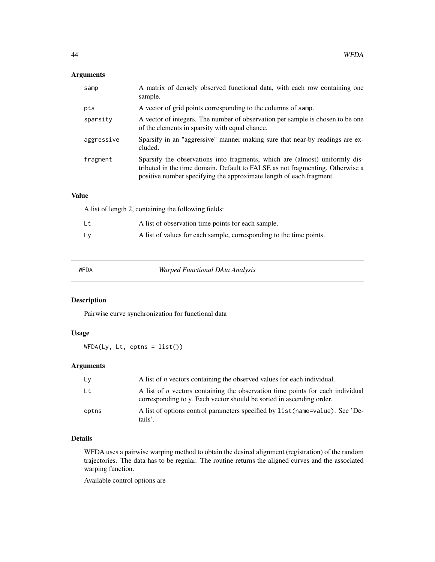# <span id="page-43-0"></span>Arguments

| samp       | A matrix of densely observed functional data, with each row containing one<br>sample.                                                                                                                                               |
|------------|-------------------------------------------------------------------------------------------------------------------------------------------------------------------------------------------------------------------------------------|
| pts        | A vector of grid points corresponding to the columns of samp.                                                                                                                                                                       |
| sparsity   | A vector of integers. The number of observation per sample is chosen to be one<br>of the elements in sparsity with equal chance.                                                                                                    |
| aggressive | Sparsify in an "aggressive" manner making sure that near-by readings are ex-<br>cluded.                                                                                                                                             |
| fragment   | Sparsify the observations into fragments, which are (almost) uniformly dis-<br>tributed in the time domain. Default to FALSE as not fragmenting. Otherwise a<br>positive number specifying the approximate length of each fragment. |

# Value

A list of length 2, containing the following fields:

| Lt | A list of observation time points for each sample.                  |
|----|---------------------------------------------------------------------|
| L٧ | A list of values for each sample, corresponding to the time points. |

WFDA *Warped Functional DAta Analysis*

# Description

Pairwise curve synchronization for functional data

# Usage

WFDA(Ly, Lt, optns = list())

# Arguments

| Ly    | A list of <i>n</i> vectors containing the observed values for each individual.                                                                                |
|-------|---------------------------------------------------------------------------------------------------------------------------------------------------------------|
| Lt    | A list of <i>n</i> vectors containing the observation time points for each individual<br>corresponding to y. Each vector should be sorted in ascending order. |
| optns | A list of options control parameters specified by list (name=value). See 'De-<br>tails'.                                                                      |

## Details

WFDA uses a pairwise warping method to obtain the desired alignment (registration) of the random trajectories. The data has to be regular. The routine returns the aligned curves and the associated warping function.

Available control options are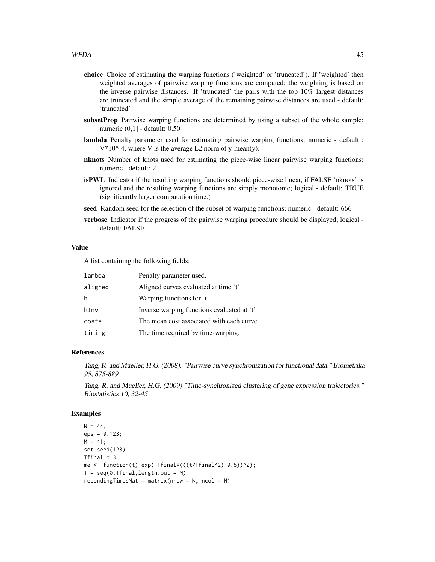- choice Choice of estimating the warping functions ('weighted' or 'truncated'). If 'weighted' then weighted averages of pairwise warping functions are computed; the weighting is based on the inverse pairwise distances. If 'truncated' the pairs with the top 10% largest distances are truncated and the simple average of the remaining pairwise distances are used - default: 'truncated'
- subsetProp Pairwise warping functions are determined by using a subset of the whole sample; numeric (0,1] - default: 0.50
- lambda Penalty parameter used for estimating pairwise warping functions; numeric default :  $V*10^{\scriptstyle\wedge}$ -4, where V is the average L2 norm of y-mean(y).
- nknots Number of knots used for estimating the piece-wise linear pairwise warping functions; numeric - default: 2
- isPWL Indicator if the resulting warping functions should piece-wise linear, if FALSE 'nknots' is ignored and the resulting warping functions are simply monotonic; logical - default: TRUE (significantly larger computation time.)
- seed Random seed for the selection of the subset of warping functions; numeric default: 666
- verbose Indicator if the progress of the pairwise warping procedure should be displayed; logical default: FALSE

#### Value

A list containing the following fields:

| lambda  | Penalty parameter used.                    |
|---------|--------------------------------------------|
| aligned | Aligned curves evaluated at time 't'       |
| h       | Warping functions for 't'                  |
| hInv    | Inverse warping functions evaluated at 't' |
| costs   | The mean cost associated with each curve.  |
| timing  | The time required by time-warping.         |

#### References

Tang, R. and Mueller, H.G. (2008). "Pairwise curve synchronization for functional data." Biometrika 95, 875-889

Tang, R. and Mueller, H.G. (2009) "Time-synchronized clustering of gene expression trajectories." Biostatistics 10, 32-45

```
N = 44;eps = 0.123;
M = 41;set.seed(123)
Tfinal = 3me <- function(t) exp(-Tfinal*(((t/Tfinal^2)-0.5))^2);
T = \text{seq}(0, \text{Tfinal}, \text{length.out} = M)recondingTimesMat = matrix(nrow = N, ncol = M)
```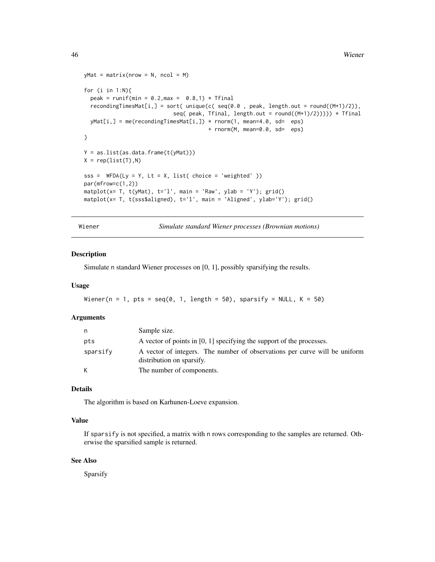```
46 Wiener
```

```
yMat = matrix(nrow = N, ncol = M)for (i in 1:N){
  peak = runif(min = 0.2, max = 0.8, 1) * Tfinal
  recondingTimesMat[i,] = sort( unique(c( seq(0.0 , peak, length.out = round((M+1)/2)),
                            seq( peak, Tfinal, length.out = round((M+1)/2)))) * Tfinal
  yMat[i,] = me(recondingTimesMat[i,]) * rnorm(1, mean=4.0, sd=eps)+ rnorm(M, mean=0.0, sd= eps)
}
Y = as.list(as.data.frame(t(yMat)))
X = rep(list(T), N)sss = WFDA(Ly = Y, Lt = X, list( choice = 'weighted' ))par(mfrow=c(1,2))
matplot(x= T, t(yMat), t='l', main = 'Raw', ylab = 'Y'); grid()
matplot(x= T, t(sss$aligned), t='l', main = 'Aligned', ylab='Y'); grid()
```
Wiener *Simulate standard Wiener processes (Brownian motions)*

#### Description

Simulate n standard Wiener processes on [0, 1], possibly sparsifying the results.

#### Usage

```
Wiener(n = 1, pts = seq(0, 1, length = 50), sparsify = NULL, K = 50)
```
#### Arguments

| n        | Sample size.                                                                                            |
|----------|---------------------------------------------------------------------------------------------------------|
| pts      | A vector of points in $[0, 1]$ specifying the support of the processes.                                 |
| sparsify | A vector of integers. The number of observations per curve will be uniform<br>distribution on sparsify. |
| К        | The number of components.                                                                               |

#### Details

The algorithm is based on Karhunen-Loeve expansion.

## Value

If sparsify is not specified, a matrix with n rows corresponding to the samples are returned. Otherwise the sparsified sample is returned.

#### See Also

Sparsify